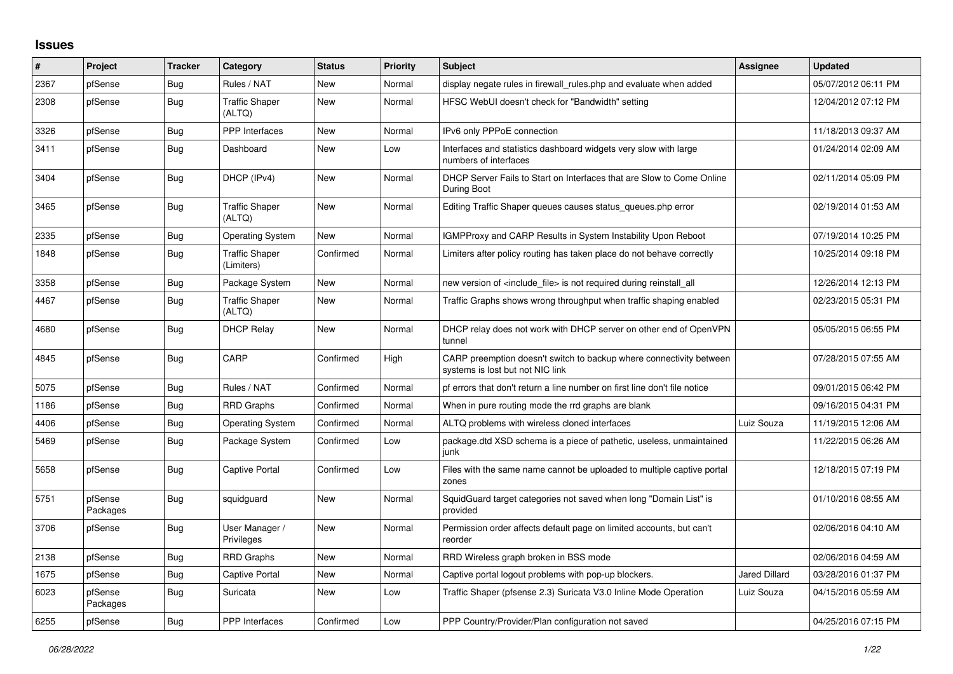## **Issues**

| #    | Project             | <b>Tracker</b> | Category                            | <b>Status</b> | <b>Priority</b> | <b>Subject</b>                                                                                          | <b>Assignee</b>      | <b>Updated</b>      |
|------|---------------------|----------------|-------------------------------------|---------------|-----------------|---------------------------------------------------------------------------------------------------------|----------------------|---------------------|
| 2367 | pfSense             | Bug            | Rules / NAT                         | <b>New</b>    | Normal          | display negate rules in firewall_rules.php and evaluate when added                                      |                      | 05/07/2012 06:11 PM |
| 2308 | pfSense             | Bug            | <b>Traffic Shaper</b><br>(ALTQ)     | New           | Normal          | HFSC WebUI doesn't check for "Bandwidth" setting                                                        |                      | 12/04/2012 07:12 PM |
| 3326 | pfSense             | <b>Bug</b>     | <b>PPP</b> Interfaces               | <b>New</b>    | Normal          | IPv6 only PPPoE connection                                                                              |                      | 11/18/2013 09:37 AM |
| 3411 | pfSense             | Bug            | Dashboard                           | <b>New</b>    | Low             | Interfaces and statistics dashboard widgets very slow with large<br>numbers of interfaces               |                      | 01/24/2014 02:09 AM |
| 3404 | pfSense             | Bug            | DHCP (IPv4)                         | New           | Normal          | DHCP Server Fails to Start on Interfaces that are Slow to Come Online<br>During Boot                    |                      | 02/11/2014 05:09 PM |
| 3465 | pfSense             | Bug            | <b>Traffic Shaper</b><br>(ALTQ)     | New           | Normal          | Editing Traffic Shaper queues causes status queues.php error                                            |                      | 02/19/2014 01:53 AM |
| 2335 | pfSense             | Bug            | <b>Operating System</b>             | New           | Normal          | <b>IGMPProxy and CARP Results in System Instability Upon Reboot</b>                                     |                      | 07/19/2014 10:25 PM |
| 1848 | pfSense             | Bug            | <b>Traffic Shaper</b><br>(Limiters) | Confirmed     | Normal          | Limiters after policy routing has taken place do not behave correctly                                   |                      | 10/25/2014 09:18 PM |
| 3358 | pfSense             | Bug            | Package System                      | <b>New</b>    | Normal          | new version of <include file=""> is not required during reinstall all</include>                         |                      | 12/26/2014 12:13 PM |
| 4467 | pfSense             | Bug            | <b>Traffic Shaper</b><br>(ALTQ)     | <b>New</b>    | Normal          | Traffic Graphs shows wrong throughput when traffic shaping enabled                                      |                      | 02/23/2015 05:31 PM |
| 4680 | pfSense             | Bug            | <b>DHCP Relay</b>                   | New           | Normal          | DHCP relay does not work with DHCP server on other end of OpenVPN<br>tunnel                             |                      | 05/05/2015 06:55 PM |
| 4845 | pfSense             | Bug            | CARP                                | Confirmed     | High            | CARP preemption doesn't switch to backup where connectivity between<br>systems is lost but not NIC link |                      | 07/28/2015 07:55 AM |
| 5075 | pfSense             | Bug            | Rules / NAT                         | Confirmed     | Normal          | pf errors that don't return a line number on first line don't file notice                               |                      | 09/01/2015 06:42 PM |
| 1186 | pfSense             | <b>Bug</b>     | <b>RRD Graphs</b>                   | Confirmed     | Normal          | When in pure routing mode the rrd graphs are blank                                                      |                      | 09/16/2015 04:31 PM |
| 4406 | pfSense             | Bug            | <b>Operating System</b>             | Confirmed     | Normal          | ALTQ problems with wireless cloned interfaces                                                           | Luiz Souza           | 11/19/2015 12:06 AM |
| 5469 | pfSense             | Bug            | Package System                      | Confirmed     | Low             | package.dtd XSD schema is a piece of pathetic, useless, unmaintained<br>iunk                            |                      | 11/22/2015 06:26 AM |
| 5658 | pfSense             | Bug            | Captive Portal                      | Confirmed     | Low             | Files with the same name cannot be uploaded to multiple captive portal<br>zones                         |                      | 12/18/2015 07:19 PM |
| 5751 | pfSense<br>Packages | Bug            | squidguard                          | New           | Normal          | SquidGuard target categories not saved when long "Domain List" is<br>provided                           |                      | 01/10/2016 08:55 AM |
| 3706 | pfSense             | Bug            | User Manager /<br>Privileges        | <b>New</b>    | Normal          | Permission order affects default page on limited accounts, but can't<br>reorder                         |                      | 02/06/2016 04:10 AM |
| 2138 | pfSense             | Bug            | <b>RRD Graphs</b>                   | New           | Normal          | RRD Wireless graph broken in BSS mode                                                                   |                      | 02/06/2016 04:59 AM |
| 1675 | pfSense             | Bug            | <b>Captive Portal</b>               | New           | Normal          | Captive portal logout problems with pop-up blockers.                                                    | <b>Jared Dillard</b> | 03/28/2016 01:37 PM |
| 6023 | pfSense<br>Packages | Bug            | Suricata                            | New           | Low             | Traffic Shaper (pfsense 2.3) Suricata V3.0 Inline Mode Operation                                        | Luiz Souza           | 04/15/2016 05:59 AM |
| 6255 | pfSense             | Bug            | PPP Interfaces                      | Confirmed     | Low             | PPP Country/Provider/Plan configuration not saved                                                       |                      | 04/25/2016 07:15 PM |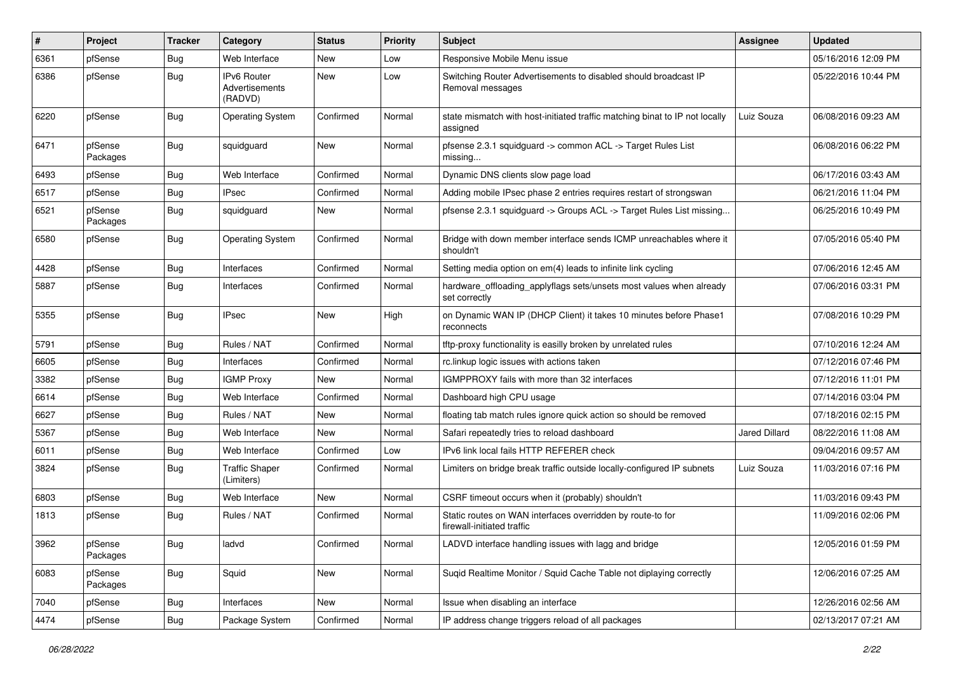| $\sharp$ | Project             | <b>Tracker</b> | Category                                        | <b>Status</b> | <b>Priority</b> | Subject                                                                                  | <b>Assignee</b> | <b>Updated</b>      |
|----------|---------------------|----------------|-------------------------------------------------|---------------|-----------------|------------------------------------------------------------------------------------------|-----------------|---------------------|
| 6361     | pfSense             | Bug            | Web Interface                                   | New           | Low             | Responsive Mobile Menu issue                                                             |                 | 05/16/2016 12:09 PM |
| 6386     | pfSense             | <b>Bug</b>     | <b>IPv6 Router</b><br>Advertisements<br>(RADVD) | New           | Low             | Switching Router Advertisements to disabled should broadcast IP<br>Removal messages      |                 | 05/22/2016 10:44 PM |
| 6220     | pfSense             | <b>Bug</b>     | <b>Operating System</b>                         | Confirmed     | Normal          | state mismatch with host-initiated traffic matching binat to IP not locally<br>assigned  | Luiz Souza      | 06/08/2016 09:23 AM |
| 6471     | pfSense<br>Packages | <b>Bug</b>     | squidguard                                      | New           | Normal          | pfsense 2.3.1 squidguard -> common ACL -> Target Rules List<br>missing                   |                 | 06/08/2016 06:22 PM |
| 6493     | pfSense             | Bug            | Web Interface                                   | Confirmed     | Normal          | Dynamic DNS clients slow page load                                                       |                 | 06/17/2016 03:43 AM |
| 6517     | pfSense             | Bug            | <b>IPsec</b>                                    | Confirmed     | Normal          | Adding mobile IPsec phase 2 entries requires restart of strongswan                       |                 | 06/21/2016 11:04 PM |
| 6521     | pfSense<br>Packages | Bug            | squidguard                                      | New           | Normal          | pfsense 2.3.1 squidguard -> Groups ACL -> Target Rules List missing                      |                 | 06/25/2016 10:49 PM |
| 6580     | pfSense             | <b>Bug</b>     | <b>Operating System</b>                         | Confirmed     | Normal          | Bridge with down member interface sends ICMP unreachables where it<br>shouldn't          |                 | 07/05/2016 05:40 PM |
| 4428     | pfSense             | Bug            | Interfaces                                      | Confirmed     | Normal          | Setting media option on em(4) leads to infinite link cycling                             |                 | 07/06/2016 12:45 AM |
| 5887     | pfSense             | Bug            | Interfaces                                      | Confirmed     | Normal          | hardware_offloading_applyflags sets/unsets most values when already<br>set correctly     |                 | 07/06/2016 03:31 PM |
| 5355     | pfSense             | Bug            | <b>IPsec</b>                                    | New           | High            | on Dynamic WAN IP (DHCP Client) it takes 10 minutes before Phase1<br>reconnects          |                 | 07/08/2016 10:29 PM |
| 5791     | pfSense             | <b>Bug</b>     | Rules / NAT                                     | Confirmed     | Normal          | tftp-proxy functionality is easilly broken by unrelated rules                            |                 | 07/10/2016 12:24 AM |
| 6605     | pfSense             | Bug            | Interfaces                                      | Confirmed     | Normal          | rc.linkup logic issues with actions taken                                                |                 | 07/12/2016 07:46 PM |
| 3382     | pfSense             | Bug            | <b>IGMP Proxy</b>                               | New           | Normal          | IGMPPROXY fails with more than 32 interfaces                                             |                 | 07/12/2016 11:01 PM |
| 6614     | pfSense             | <b>Bug</b>     | Web Interface                                   | Confirmed     | Normal          | Dashboard high CPU usage                                                                 |                 | 07/14/2016 03:04 PM |
| 6627     | pfSense             | Bug            | Rules / NAT                                     | <b>New</b>    | Normal          | floating tab match rules ignore quick action so should be removed                        |                 | 07/18/2016 02:15 PM |
| 5367     | pfSense             | Bug            | Web Interface                                   | New           | Normal          | Safari repeatedly tries to reload dashboard                                              | Jared Dillard   | 08/22/2016 11:08 AM |
| 6011     | pfSense             | <b>Bug</b>     | Web Interface                                   | Confirmed     | Low             | IPv6 link local fails HTTP REFERER check                                                 |                 | 09/04/2016 09:57 AM |
| 3824     | pfSense             | Bug            | <b>Traffic Shaper</b><br>(Limiters)             | Confirmed     | Normal          | Limiters on bridge break traffic outside locally-configured IP subnets                   | Luiz Souza      | 11/03/2016 07:16 PM |
| 6803     | pfSense             | <b>Bug</b>     | Web Interface                                   | New           | Normal          | CSRF timeout occurs when it (probably) shouldn't                                         |                 | 11/03/2016 09:43 PM |
| 1813     | pfSense             | Bug            | Rules / NAT                                     | Confirmed     | Normal          | Static routes on WAN interfaces overridden by route-to for<br>firewall-initiated traffic |                 | 11/09/2016 02:06 PM |
| 3962     | pfSense<br>Packages | <b>Bug</b>     | ladvd                                           | Confirmed     | Normal          | LADVD interface handling issues with lagg and bridge                                     |                 | 12/05/2016 01:59 PM |
| 6083     | pfSense<br>Packages | <b>Bug</b>     | Squid                                           | New           | Normal          | Suqid Realtime Monitor / Squid Cache Table not diplaying correctly                       |                 | 12/06/2016 07:25 AM |
| 7040     | pfSense             | <b>Bug</b>     | Interfaces                                      | New           | Normal          | Issue when disabling an interface                                                        |                 | 12/26/2016 02:56 AM |
| 4474     | pfSense             | Bug            | Package System                                  | Confirmed     | Normal          | IP address change triggers reload of all packages                                        |                 | 02/13/2017 07:21 AM |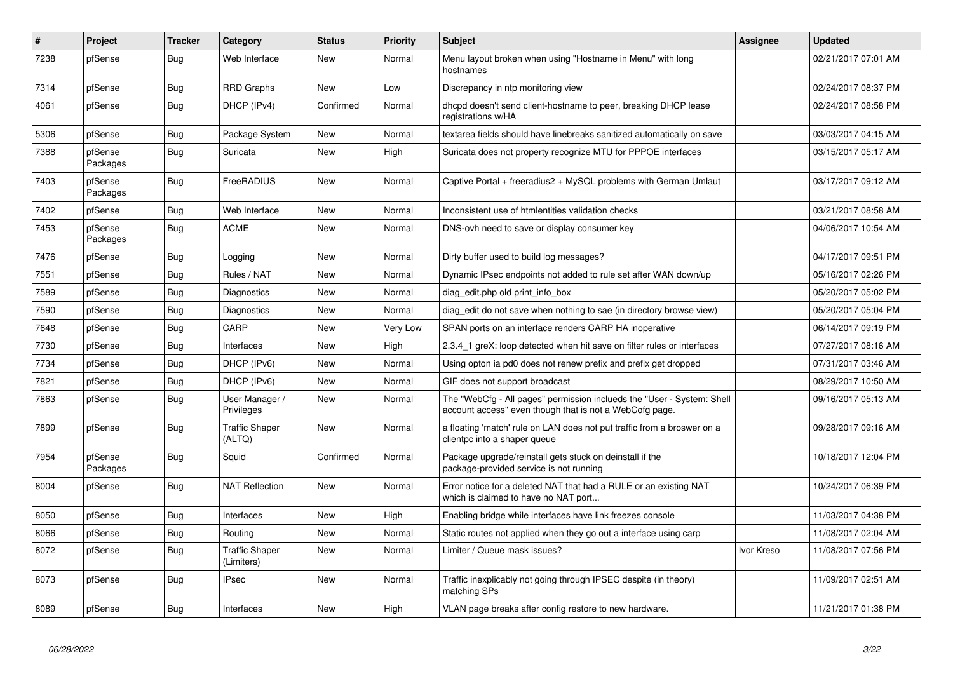| $\#$ | Project             | <b>Tracker</b> | Category                            | <b>Status</b> | <b>Priority</b> | <b>Subject</b>                                                                                                                    | Assignee   | <b>Updated</b>      |
|------|---------------------|----------------|-------------------------------------|---------------|-----------------|-----------------------------------------------------------------------------------------------------------------------------------|------------|---------------------|
| 7238 | pfSense             | <b>Bug</b>     | Web Interface                       | New           | Normal          | Menu layout broken when using "Hostname in Menu" with long<br>hostnames                                                           |            | 02/21/2017 07:01 AM |
| 7314 | pfSense             | Bug            | <b>RRD Graphs</b>                   | New           | Low             | Discrepancy in ntp monitoring view                                                                                                |            | 02/24/2017 08:37 PM |
| 4061 | pfSense             | <b>Bug</b>     | DHCP (IPv4)                         | Confirmed     | Normal          | dhcpd doesn't send client-hostname to peer, breaking DHCP lease<br>registrations w/HA                                             |            | 02/24/2017 08:58 PM |
| 5306 | pfSense             | Bug            | Package System                      | New           | Normal          | textarea fields should have linebreaks sanitized automatically on save                                                            |            | 03/03/2017 04:15 AM |
| 7388 | pfSense<br>Packages | <b>Bug</b>     | Suricata                            | New           | High            | Suricata does not property recognize MTU for PPPOE interfaces                                                                     |            | 03/15/2017 05:17 AM |
| 7403 | pfSense<br>Packages | <b>Bug</b>     | FreeRADIUS                          | New           | Normal          | Captive Portal + freeradius2 + MySQL problems with German Umlaut                                                                  |            | 03/17/2017 09:12 AM |
| 7402 | pfSense             | <b>Bug</b>     | Web Interface                       | <b>New</b>    | Normal          | Inconsistent use of htmlentities validation checks                                                                                |            | 03/21/2017 08:58 AM |
| 7453 | pfSense<br>Packages | <b>Bug</b>     | ACME                                | New           | Normal          | DNS-ovh need to save or display consumer key                                                                                      |            | 04/06/2017 10:54 AM |
| 7476 | pfSense             | <b>Bug</b>     | Logging                             | <b>New</b>    | Normal          | Dirty buffer used to build log messages?                                                                                          |            | 04/17/2017 09:51 PM |
| 7551 | pfSense             | <b>Bug</b>     | Rules / NAT                         | New           | Normal          | Dynamic IPsec endpoints not added to rule set after WAN down/up                                                                   |            | 05/16/2017 02:26 PM |
| 7589 | pfSense             | <b>Bug</b>     | Diagnostics                         | <b>New</b>    | Normal          | diag edit.php old print info box                                                                                                  |            | 05/20/2017 05:02 PM |
| 7590 | pfSense             | <b>Bug</b>     | Diagnostics                         | <b>New</b>    | Normal          | diag_edit do not save when nothing to sae (in directory browse view)                                                              |            | 05/20/2017 05:04 PM |
| 7648 | pfSense             | Bug            | CARP                                | New           | Very Low        | SPAN ports on an interface renders CARP HA inoperative                                                                            |            | 06/14/2017 09:19 PM |
| 7730 | pfSense             | <b>Bug</b>     | Interfaces                          | New           | High            | 2.3.4 1 greX: loop detected when hit save on filter rules or interfaces                                                           |            | 07/27/2017 08:16 AM |
| 7734 | pfSense             | Bug            | DHCP (IPv6)                         | <b>New</b>    | Normal          | Using opton ia pd0 does not renew prefix and prefix get dropped                                                                   |            | 07/31/2017 03:46 AM |
| 7821 | pfSense             | Bug            | DHCP (IPv6)                         | New           | Normal          | GIF does not support broadcast                                                                                                    |            | 08/29/2017 10:50 AM |
| 7863 | pfSense             | <b>Bug</b>     | User Manager /<br>Privileges        | New           | Normal          | The "WebCfg - All pages" permission inclueds the "User - System: Shell<br>account access" even though that is not a WebCofg page. |            | 09/16/2017 05:13 AM |
| 7899 | pfSense             | <b>Bug</b>     | <b>Traffic Shaper</b><br>(ALTQ)     | New           | Normal          | a floating 'match' rule on LAN does not put traffic from a broswer on a<br>clientpc into a shaper queue                           |            | 09/28/2017 09:16 AM |
| 7954 | pfSense<br>Packages | Bug            | Squid                               | Confirmed     | Normal          | Package upgrade/reinstall gets stuck on deinstall if the<br>package-provided service is not running                               |            | 10/18/2017 12:04 PM |
| 8004 | pfSense             | Bug            | <b>NAT Reflection</b>               | <b>New</b>    | Normal          | Error notice for a deleted NAT that had a RULE or an existing NAT<br>which is claimed to have no NAT port                         |            | 10/24/2017 06:39 PM |
| 8050 | pfSense             | <b>Bug</b>     | Interfaces                          | <b>New</b>    | High            | Enabling bridge while interfaces have link freezes console                                                                        |            | 11/03/2017 04:38 PM |
| 8066 | pfSense             | <b>Bug</b>     | Routing                             | New           | Normal          | Static routes not applied when they go out a interface using carp                                                                 |            | 11/08/2017 02:04 AM |
| 8072 | pfSense             | <b>Bug</b>     | <b>Traffic Shaper</b><br>(Limiters) | New           | Normal          | Limiter / Queue mask issues?                                                                                                      | Ivor Kreso | 11/08/2017 07:56 PM |
| 8073 | pfSense             | <b>Bug</b>     | <b>IPsec</b>                        | New           | Normal          | Traffic inexplicably not going through IPSEC despite (in theory)<br>matching SPs                                                  |            | 11/09/2017 02:51 AM |
| 8089 | pfSense             | Bug            | Interfaces                          | New           | High            | VLAN page breaks after config restore to new hardware.                                                                            |            | 11/21/2017 01:38 PM |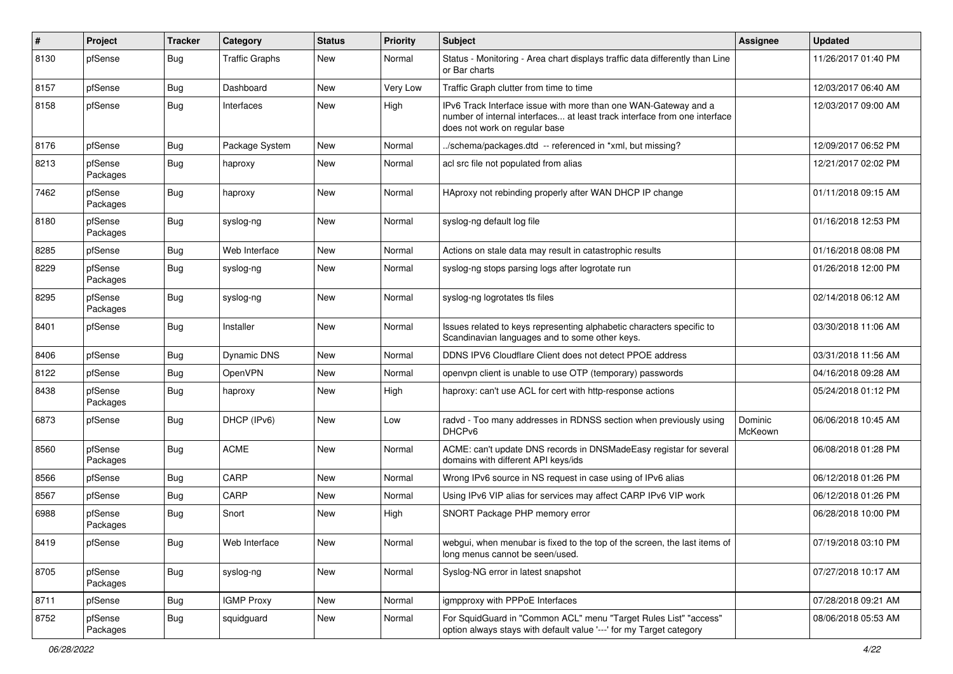| $\pmb{\#}$ | Project             | <b>Tracker</b> | Category              | <b>Status</b> | <b>Priority</b> | <b>Subject</b>                                                                                                                                                                | <b>Assignee</b>    | <b>Updated</b>      |
|------------|---------------------|----------------|-----------------------|---------------|-----------------|-------------------------------------------------------------------------------------------------------------------------------------------------------------------------------|--------------------|---------------------|
| 8130       | pfSense             | Bug            | <b>Traffic Graphs</b> | New           | Normal          | Status - Monitoring - Area chart displays traffic data differently than Line<br>or Bar charts                                                                                 |                    | 11/26/2017 01:40 PM |
| 8157       | pfSense             | Bug            | Dashboard             | New           | Very Low        | Traffic Graph clutter from time to time                                                                                                                                       |                    | 12/03/2017 06:40 AM |
| 8158       | pfSense             | Bug            | Interfaces            | New           | High            | IPv6 Track Interface issue with more than one WAN-Gateway and a<br>number of internal interfaces at least track interface from one interface<br>does not work on regular base |                    | 12/03/2017 09:00 AM |
| 8176       | pfSense             | Bug            | Package System        | New           | Normal          | ./schema/packages.dtd -- referenced in *xml, but missing?                                                                                                                     |                    | 12/09/2017 06:52 PM |
| 8213       | pfSense<br>Packages | <b>Bug</b>     | haproxy               | New           | Normal          | acl src file not populated from alias                                                                                                                                         |                    | 12/21/2017 02:02 PM |
| 7462       | pfSense<br>Packages | Bug            | haproxy               | New           | Normal          | HAproxy not rebinding properly after WAN DHCP IP change                                                                                                                       |                    | 01/11/2018 09:15 AM |
| 8180       | pfSense<br>Packages | Bug            | syslog-ng             | New           | Normal          | syslog-ng default log file                                                                                                                                                    |                    | 01/16/2018 12:53 PM |
| 8285       | pfSense             | Bug            | Web Interface         | New           | Normal          | Actions on stale data may result in catastrophic results                                                                                                                      |                    | 01/16/2018 08:08 PM |
| 8229       | pfSense<br>Packages | Bug            | syslog-ng             | New           | Normal          | syslog-ng stops parsing logs after logrotate run                                                                                                                              |                    | 01/26/2018 12:00 PM |
| 8295       | pfSense<br>Packages | Bug            | syslog-ng             | New           | Normal          | syslog-ng logrotates tls files                                                                                                                                                |                    | 02/14/2018 06:12 AM |
| 8401       | pfSense             | Bug            | Installer             | New           | Normal          | Issues related to keys representing alphabetic characters specific to<br>Scandinavian languages and to some other keys.                                                       |                    | 03/30/2018 11:06 AM |
| 8406       | pfSense             | Bug            | Dynamic DNS           | New           | Normal          | DDNS IPV6 Cloudflare Client does not detect PPOE address                                                                                                                      |                    | 03/31/2018 11:56 AM |
| 8122       | pfSense             | Bug            | OpenVPN               | New           | Normal          | openvpn client is unable to use OTP (temporary) passwords                                                                                                                     |                    | 04/16/2018 09:28 AM |
| 8438       | pfSense<br>Packages | Bug            | haproxy               | New           | High            | haproxy: can't use ACL for cert with http-response actions                                                                                                                    |                    | 05/24/2018 01:12 PM |
| 6873       | pfSense             | Bug            | DHCP (IPv6)           | New           | Low             | radvd - Too many addresses in RDNSS section when previously using<br>DHCP <sub>v6</sub>                                                                                       | Dominic<br>McKeown | 06/06/2018 10:45 AM |
| 8560       | pfSense<br>Packages | Bug            | <b>ACME</b>           | New           | Normal          | ACME: can't update DNS records in DNSMadeEasy registar for several<br>domains with different API keys/ids                                                                     |                    | 06/08/2018 01:28 PM |
| 8566       | pfSense             | Bug            | CARP                  | New           | Normal          | Wrong IPv6 source in NS request in case using of IPv6 alias                                                                                                                   |                    | 06/12/2018 01:26 PM |
| 8567       | pfSense             | Bug            | CARP                  | <b>New</b>    | Normal          | Using IPv6 VIP alias for services may affect CARP IPv6 VIP work                                                                                                               |                    | 06/12/2018 01:26 PM |
| 6988       | pfSense<br>Packages | Bug            | Snort                 | New           | High            | SNORT Package PHP memory error                                                                                                                                                |                    | 06/28/2018 10:00 PM |
| 8419       | pfSense             | Bug            | Web Interface         | New           | Normal          | webgui, when menubar is fixed to the top of the screen, the last items of<br>long menus cannot be seen/used.                                                                  |                    | 07/19/2018 03:10 PM |
| 8705       | pfSense<br>Packages | Bug            | syslog-ng             | New           | Normal          | Syslog-NG error in latest snapshot                                                                                                                                            |                    | 07/27/2018 10:17 AM |
| 8711       | pfSense             | <b>Bug</b>     | <b>IGMP Proxy</b>     | New           | Normal          | igmpproxy with PPPoE Interfaces                                                                                                                                               |                    | 07/28/2018 09:21 AM |
| 8752       | pfSense<br>Packages | Bug            | squidguard            | New           | Normal          | For SquidGuard in "Common ACL" menu "Target Rules List" "access"<br>option always stays with default value '---' for my Target category                                       |                    | 08/06/2018 05:53 AM |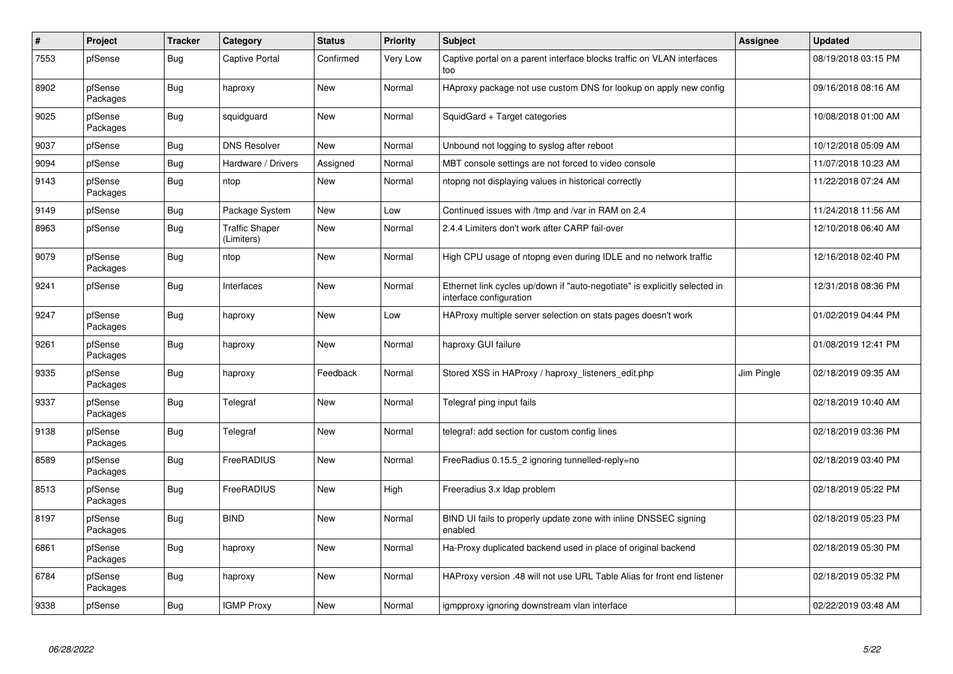| $\sharp$ | Project             | <b>Tracker</b> | Category                            | <b>Status</b> | <b>Priority</b> | <b>Subject</b>                                                                                        | Assignee   | <b>Updated</b>      |
|----------|---------------------|----------------|-------------------------------------|---------------|-----------------|-------------------------------------------------------------------------------------------------------|------------|---------------------|
| 7553     | pfSense             | <b>Bug</b>     | Captive Portal                      | Confirmed     | Very Low        | Captive portal on a parent interface blocks traffic on VLAN interfaces<br>too                         |            | 08/19/2018 03:15 PM |
| 8902     | pfSense<br>Packages | Bug            | haproxy                             | New           | Normal          | HAproxy package not use custom DNS for lookup on apply new config                                     |            | 09/16/2018 08:16 AM |
| 9025     | pfSense<br>Packages | Bug            | squidguard                          | New           | Normal          | SquidGard + Target categories                                                                         |            | 10/08/2018 01:00 AM |
| 9037     | pfSense             | Bug            | <b>DNS Resolver</b>                 | <b>New</b>    | Normal          | Unbound not logging to syslog after reboot                                                            |            | 10/12/2018 05:09 AM |
| 9094     | pfSense             | Bug            | Hardware / Drivers                  | Assigned      | Normal          | MBT console settings are not forced to video console                                                  |            | 11/07/2018 10:23 AM |
| 9143     | pfSense<br>Packages | <b>Bug</b>     | ntop                                | New           | Normal          | ntopng not displaying values in historical correctly                                                  |            | 11/22/2018 07:24 AM |
| 9149     | pfSense             | Bug            | Package System                      | New           | Low             | Continued issues with /tmp and /var in RAM on 2.4                                                     |            | 11/24/2018 11:56 AM |
| 8963     | pfSense             | Bug            | <b>Traffic Shaper</b><br>(Limiters) | New           | Normal          | 2.4.4 Limiters don't work after CARP fail-over                                                        |            | 12/10/2018 06:40 AM |
| 9079     | pfSense<br>Packages | Bug            | ntop                                | New           | Normal          | High CPU usage of ntopng even during IDLE and no network traffic                                      |            | 12/16/2018 02:40 PM |
| 9241     | pfSense             | Bug            | Interfaces                          | New           | Normal          | Ethernet link cycles up/down if "auto-negotiate" is explicitly selected in<br>interface configuration |            | 12/31/2018 08:36 PM |
| 9247     | pfSense<br>Packages | Bug            | haproxy                             | New           | Low             | HAProxy multiple server selection on stats pages doesn't work                                         |            | 01/02/2019 04:44 PM |
| 9261     | pfSense<br>Packages | Bug            | haproxy                             | New           | Normal          | haproxy GUI failure                                                                                   |            | 01/08/2019 12:41 PM |
| 9335     | pfSense<br>Packages | <b>Bug</b>     | haproxy                             | Feedback      | Normal          | Stored XSS in HAProxy / haproxy_listeners_edit.php                                                    | Jim Pingle | 02/18/2019 09:35 AM |
| 9337     | pfSense<br>Packages | Bug            | Telegraf                            | New           | Normal          | Telegraf ping input fails                                                                             |            | 02/18/2019 10:40 AM |
| 9138     | pfSense<br>Packages | <b>Bug</b>     | Telegraf                            | <b>New</b>    | Normal          | telegraf: add section for custom config lines                                                         |            | 02/18/2019 03:36 PM |
| 8589     | pfSense<br>Packages | <b>Bug</b>     | FreeRADIUS                          | <b>New</b>    | Normal          | FreeRadius 0.15.5_2 ignoring tunnelled-reply=no                                                       |            | 02/18/2019 03:40 PM |
| 8513     | pfSense<br>Packages | <b>Bug</b>     | FreeRADIUS                          | New           | High            | Freeradius 3.x Idap problem                                                                           |            | 02/18/2019 05:22 PM |
| 8197     | pfSense<br>Packages | Bug            | <b>BIND</b>                         | New           | Normal          | BIND UI fails to properly update zone with inline DNSSEC signing<br>enabled                           |            | 02/18/2019 05:23 PM |
| 6861     | pfSense<br>Packages | Bug            | haproxy                             | New           | Normal          | Ha-Proxy duplicated backend used in place of original backend                                         |            | 02/18/2019 05:30 PM |
| 6784     | pfSense<br>Packages | Bug            | haproxy                             | New           | Normal          | HAProxy version .48 will not use URL Table Alias for front end listener                               |            | 02/18/2019 05:32 PM |
| 9338     | pfSense             | Bug            | <b>IGMP Proxy</b>                   | New           | Normal          | igmpproxy ignoring downstream vlan interface                                                          |            | 02/22/2019 03:48 AM |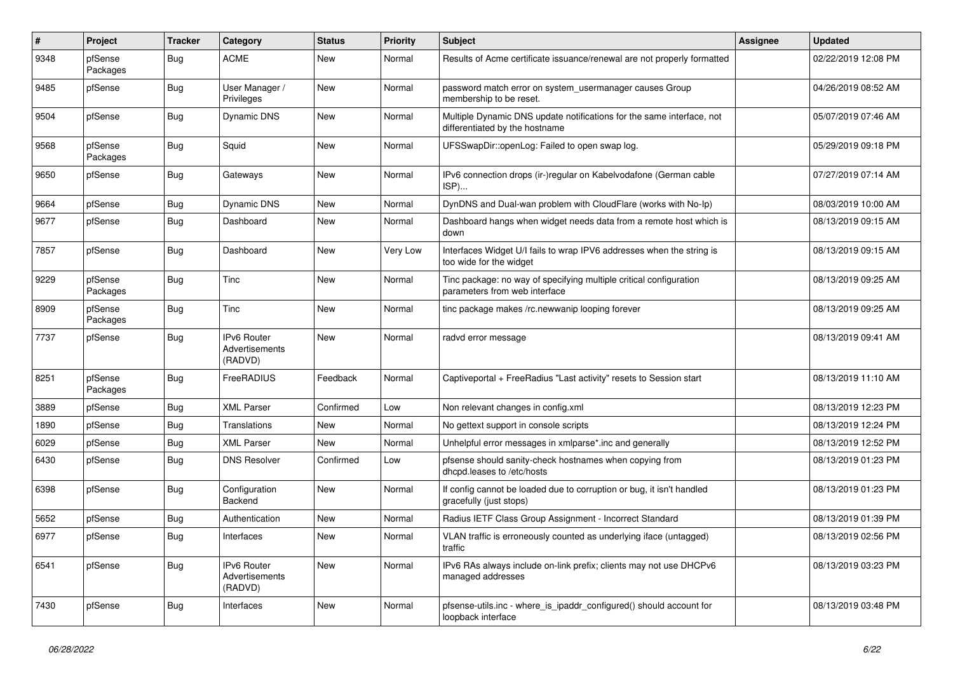| $\pmb{\#}$ | Project             | <b>Tracker</b>   | Category                                 | <b>Status</b> | <b>Priority</b> | Subject                                                                                                 | Assignee | <b>Updated</b>      |
|------------|---------------------|------------------|------------------------------------------|---------------|-----------------|---------------------------------------------------------------------------------------------------------|----------|---------------------|
| 9348       | pfSense<br>Packages | <b>Bug</b>       | <b>ACME</b>                              | New           | Normal          | Results of Acme certificate issuance/renewal are not properly formatted                                 |          | 02/22/2019 12:08 PM |
| 9485       | pfSense             | <b>Bug</b>       | User Manager /<br>Privileges             | New           | Normal          | password match error on system_usermanager causes Group<br>membership to be reset.                      |          | 04/26/2019 08:52 AM |
| 9504       | pfSense             | Bug              | <b>Dynamic DNS</b>                       | New           | Normal          | Multiple Dynamic DNS update notifications for the same interface, not<br>differentiated by the hostname |          | 05/07/2019 07:46 AM |
| 9568       | pfSense<br>Packages | Bug              | Squid                                    | New           | Normal          | UFSSwapDir::openLog: Failed to open swap log.                                                           |          | 05/29/2019 09:18 PM |
| 9650       | pfSense             | Bug              | Gateways                                 | New           | Normal          | IPv6 connection drops (ir-)regular on Kabelvodafone (German cable<br>ISP)                               |          | 07/27/2019 07:14 AM |
| 9664       | pfSense             | <b>Bug</b>       | <b>Dynamic DNS</b>                       | New           | Normal          | DynDNS and Dual-wan problem with CloudFlare (works with No-Ip)                                          |          | 08/03/2019 10:00 AM |
| 9677       | pfSense             | <b>Bug</b>       | Dashboard                                | New           | Normal          | Dashboard hangs when widget needs data from a remote host which is<br>down                              |          | 08/13/2019 09:15 AM |
| 7857       | pfSense             | Bug              | Dashboard                                | New           | Very Low        | Interfaces Widget U/I fails to wrap IPV6 addresses when the string is<br>too wide for the widget        |          | 08/13/2019 09:15 AM |
| 9229       | pfSense<br>Packages | <b>Bug</b>       | Tinc                                     | New           | Normal          | Tinc package: no way of specifying multiple critical configuration<br>parameters from web interface     |          | 08/13/2019 09:25 AM |
| 8909       | pfSense<br>Packages | Bug              | Tinc                                     | New           | Normal          | tinc package makes /rc.newwanip looping forever                                                         |          | 08/13/2019 09:25 AM |
| 7737       | pfSense             | Bug              | IPv6 Router<br>Advertisements<br>(RADVD) | New           | Normal          | radvd error message                                                                                     |          | 08/13/2019 09:41 AM |
| 8251       | pfSense<br>Packages | <b>Bug</b>       | FreeRADIUS                               | Feedback      | Normal          | Captiveportal + FreeRadius "Last activity" resets to Session start                                      |          | 08/13/2019 11:10 AM |
| 3889       | pfSense             | <b>Bug</b>       | <b>XML Parser</b>                        | Confirmed     | Low             | Non relevant changes in config.xml                                                                      |          | 08/13/2019 12:23 PM |
| 1890       | pfSense             | Bug              | Translations                             | New           | Normal          | No gettext support in console scripts                                                                   |          | 08/13/2019 12:24 PM |
| 6029       | pfSense             | Bug              | <b>XML Parser</b>                        | New           | Normal          | Unhelpful error messages in xmlparse*.inc and generally                                                 |          | 08/13/2019 12:52 PM |
| 6430       | pfSense             | <b>Bug</b>       | <b>DNS Resolver</b>                      | Confirmed     | Low             | pfsense should sanity-check hostnames when copying from<br>dhcpd.leases to /etc/hosts                   |          | 08/13/2019 01:23 PM |
| 6398       | pfSense             | Bug              | Configuration<br>Backend                 | New           | Normal          | If config cannot be loaded due to corruption or bug, it isn't handled<br>gracefully (just stops)        |          | 08/13/2019 01:23 PM |
| 5652       | pfSense             | <b>Bug</b>       | Authentication                           | New           | Normal          | Radius IETF Class Group Assignment - Incorrect Standard                                                 |          | 08/13/2019 01:39 PM |
| 6977       | pfSense             | <sub>I</sub> Bug | Interfaces                               | New           | Normal          | VLAN traffic is erroneously counted as underlying iface (untagged)<br>traffic                           |          | 08/13/2019 02:56 PM |
| 6541       | pfSense             | <b>Bug</b>       | IPv6 Router<br>Advertisements<br>(RADVD) | New           | Normal          | IPv6 RAs always include on-link prefix; clients may not use DHCPv6<br>managed addresses                 |          | 08/13/2019 03:23 PM |
| 7430       | pfSense             | Bug              | Interfaces                               | New           | Normal          | pfsense-utils.inc - where_is_ipaddr_configured() should account for<br>loopback interface               |          | 08/13/2019 03:48 PM |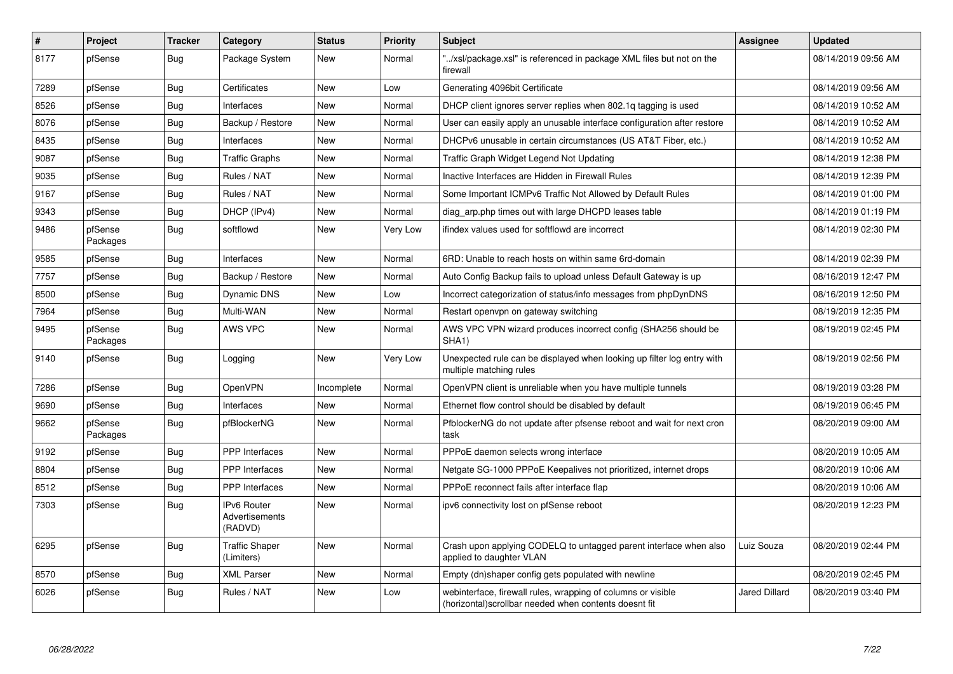| $\vert$ # | Project             | <b>Tracker</b> | Category                                 | <b>Status</b> | Priority | <b>Subject</b>                                                                                                         | Assignee      | <b>Updated</b>      |
|-----------|---------------------|----------------|------------------------------------------|---------------|----------|------------------------------------------------------------------------------------------------------------------------|---------------|---------------------|
| 8177      | pfSense             | Bug            | Package System                           | New           | Normal   | '/xsl/package.xsl" is referenced in package XML files but not on the<br>firewall                                       |               | 08/14/2019 09:56 AM |
| 7289      | pfSense             | Bug            | Certificates                             | <b>New</b>    | Low      | Generating 4096bit Certificate                                                                                         |               | 08/14/2019 09:56 AM |
| 8526      | pfSense             | Bug            | Interfaces                               | <b>New</b>    | Normal   | DHCP client ignores server replies when 802.1q tagging is used                                                         |               | 08/14/2019 10:52 AM |
| 8076      | pfSense             | <b>Bug</b>     | Backup / Restore                         | <b>New</b>    | Normal   | User can easily apply an unusable interface configuration after restore                                                |               | 08/14/2019 10:52 AM |
| 8435      | pfSense             | Bug            | Interfaces                               | New           | Normal   | DHCPv6 unusable in certain circumstances (US AT&T Fiber, etc.)                                                         |               | 08/14/2019 10:52 AM |
| 9087      | pfSense             | Bug            | <b>Traffic Graphs</b>                    | New           | Normal   | Traffic Graph Widget Legend Not Updating                                                                               |               | 08/14/2019 12:38 PM |
| 9035      | pfSense             | Bug            | Rules / NAT                              | New           | Normal   | Inactive Interfaces are Hidden in Firewall Rules                                                                       |               | 08/14/2019 12:39 PM |
| 9167      | pfSense             | <b>Bug</b>     | Rules / NAT                              | New           | Normal   | Some Important ICMPv6 Traffic Not Allowed by Default Rules                                                             |               | 08/14/2019 01:00 PM |
| 9343      | pfSense             | <b>Bug</b>     | DHCP (IPv4)                              | New           | Normal   | diag arp.php times out with large DHCPD leases table                                                                   |               | 08/14/2019 01:19 PM |
| 9486      | pfSense<br>Packages | Bug            | softflowd                                | New           | Very Low | ifindex values used for softflowd are incorrect                                                                        |               | 08/14/2019 02:30 PM |
| 9585      | pfSense             | <b>Bug</b>     | Interfaces                               | New           | Normal   | 6RD: Unable to reach hosts on within same 6rd-domain                                                                   |               | 08/14/2019 02:39 PM |
| 7757      | pfSense             | <b>Bug</b>     | Backup / Restore                         | New           | Normal   | Auto Config Backup fails to upload unless Default Gateway is up                                                        |               | 08/16/2019 12:47 PM |
| 8500      | pfSense             | Bug            | Dynamic DNS                              | <b>New</b>    | Low      | Incorrect categorization of status/info messages from phpDynDNS                                                        |               | 08/16/2019 12:50 PM |
| 7964      | pfSense             | <b>Bug</b>     | Multi-WAN                                | New           | Normal   | Restart openvpn on gateway switching                                                                                   |               | 08/19/2019 12:35 PM |
| 9495      | pfSense<br>Packages | <b>Bug</b>     | AWS VPC                                  | New           | Normal   | AWS VPC VPN wizard produces incorrect config (SHA256 should be<br>SHA1)                                                |               | 08/19/2019 02:45 PM |
| 9140      | pfSense             | <b>Bug</b>     | Logging                                  | New           | Very Low | Unexpected rule can be displayed when looking up filter log entry with<br>multiple matching rules                      |               | 08/19/2019 02:56 PM |
| 7286      | pfSense             | Bug            | OpenVPN                                  | Incomplete    | Normal   | OpenVPN client is unreliable when you have multiple tunnels                                                            |               | 08/19/2019 03:28 PM |
| 9690      | pfSense             | Bug            | Interfaces                               | New           | Normal   | Ethernet flow control should be disabled by default                                                                    |               | 08/19/2019 06:45 PM |
| 9662      | pfSense<br>Packages | <b>Bug</b>     | pfBlockerNG                              | <b>New</b>    | Normal   | PfblockerNG do not update after pfsense reboot and wait for next cron<br>task                                          |               | 08/20/2019 09:00 AM |
| 9192      | pfSense             | Bug            | <b>PPP</b> Interfaces                    | New           | Normal   | PPPoE daemon selects wrong interface                                                                                   |               | 08/20/2019 10:05 AM |
| 8804      | pfSense             | Bug            | <b>PPP</b> Interfaces                    | <b>New</b>    | Normal   | Netgate SG-1000 PPPoE Keepalives not prioritized, internet drops                                                       |               | 08/20/2019 10:06 AM |
| 8512      | pfSense             | <b>Bug</b>     | <b>PPP</b> Interfaces                    | <b>New</b>    | Normal   | PPPoE reconnect fails after interface flap                                                                             |               | 08/20/2019 10:06 AM |
| 7303      | pfSense             | Bug            | IPv6 Router<br>Advertisements<br>(RADVD) | New           | Normal   | ipv6 connectivity lost on pfSense reboot                                                                               |               | 08/20/2019 12:23 PM |
| 6295      | pfSense             | <b>Bug</b>     | <b>Traffic Shaper</b><br>(Limiters)      | New           | Normal   | Crash upon applying CODELQ to untagged parent interface when also<br>applied to daughter VLAN                          | Luiz Souza    | 08/20/2019 02:44 PM |
| 8570      | pfSense             | <b>Bug</b>     | <b>XML Parser</b>                        | <b>New</b>    | Normal   | Empty (dn)shaper config gets populated with newline                                                                    |               | 08/20/2019 02:45 PM |
| 6026      | pfSense             | Bug            | Rules / NAT                              | New           | Low      | webinterface, firewall rules, wrapping of columns or visible<br>(horizontal) scrollbar needed when contents doesnt fit | Jared Dillard | 08/20/2019 03:40 PM |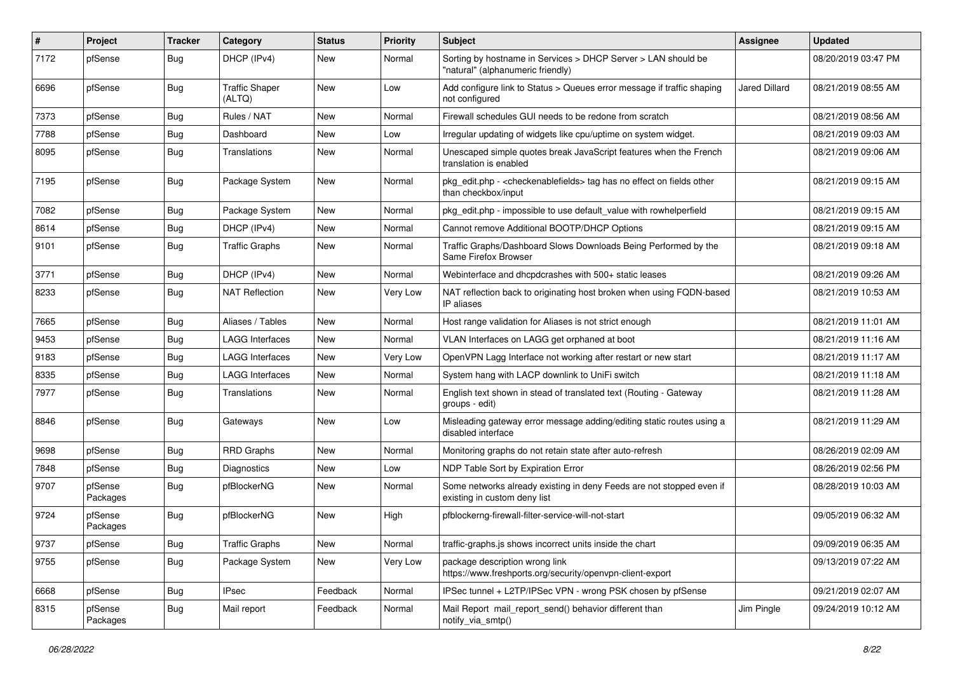| $\sharp$ | Project             | <b>Tracker</b> | Category                        | <b>Status</b> | <b>Priority</b> | Subject                                                                                                          | <b>Assignee</b>      | <b>Updated</b>      |
|----------|---------------------|----------------|---------------------------------|---------------|-----------------|------------------------------------------------------------------------------------------------------------------|----------------------|---------------------|
| 7172     | pfSense             | Bug            | DHCP (IPv4)                     | New           | Normal          | Sorting by hostname in Services > DHCP Server > LAN should be<br>"natural" (alphanumeric friendly)               |                      | 08/20/2019 03:47 PM |
| 6696     | pfSense             | Bug            | <b>Traffic Shaper</b><br>(ALTQ) | New           | Low             | Add configure link to Status > Queues error message if traffic shaping<br>not configured                         | <b>Jared Dillard</b> | 08/21/2019 08:55 AM |
| 7373     | pfSense             | Bug            | Rules / NAT                     | <b>New</b>    | Normal          | Firewall schedules GUI needs to be redone from scratch                                                           |                      | 08/21/2019 08:56 AM |
| 7788     | pfSense             | Bug            | Dashboard                       | New           | Low             | Irregular updating of widgets like cpu/uptime on system widget.                                                  |                      | 08/21/2019 09:03 AM |
| 8095     | pfSense             | Bug            | Translations                    | New           | Normal          | Unescaped simple quotes break JavaScript features when the French<br>translation is enabled                      |                      | 08/21/2019 09:06 AM |
| 7195     | pfSense             | Bug            | Package System                  | New           | Normal          | pkg_edit.php - <checkenablefields> tag has no effect on fields other<br/>than checkbox/input</checkenablefields> |                      | 08/21/2019 09:15 AM |
| 7082     | pfSense             | Bug            | Package System                  | New           | Normal          | pkg_edit.php - impossible to use default_value with rowhelperfield                                               |                      | 08/21/2019 09:15 AM |
| 8614     | pfSense             | Bug            | DHCP (IPv4)                     | New           | Normal          | Cannot remove Additional BOOTP/DHCP Options                                                                      |                      | 08/21/2019 09:15 AM |
| 9101     | pfSense             | <b>Bug</b>     | <b>Traffic Graphs</b>           | New           | Normal          | Traffic Graphs/Dashboard Slows Downloads Being Performed by the<br>Same Firefox Browser                          |                      | 08/21/2019 09:18 AM |
| 3771     | pfSense             | Bug            | DHCP (IPv4)                     | New           | Normal          | Webinterface and dhcpdcrashes with 500+ static leases                                                            |                      | 08/21/2019 09:26 AM |
| 8233     | pfSense             | <b>Bug</b>     | <b>NAT Reflection</b>           | New           | Very Low        | NAT reflection back to originating host broken when using FQDN-based<br>IP aliases                               |                      | 08/21/2019 10:53 AM |
| 7665     | pfSense             | Bug            | Aliases / Tables                | <b>New</b>    | Normal          | Host range validation for Aliases is not strict enough                                                           |                      | 08/21/2019 11:01 AM |
| 9453     | pfSense             | Bug            | <b>LAGG Interfaces</b>          | New           | Normal          | VLAN Interfaces on LAGG get orphaned at boot                                                                     |                      | 08/21/2019 11:16 AM |
| 9183     | pfSense             | Bug            | LAGG Interfaces                 | New           | Very Low        | OpenVPN Lagg Interface not working after restart or new start                                                    |                      | 08/21/2019 11:17 AM |
| 8335     | pfSense             | Bug            | <b>LAGG Interfaces</b>          | New           | Normal          | System hang with LACP downlink to UniFi switch                                                                   |                      | 08/21/2019 11:18 AM |
| 7977     | pfSense             | Bug            | <b>Translations</b>             | New           | Normal          | English text shown in stead of translated text (Routing - Gateway<br>groups - edit)                              |                      | 08/21/2019 11:28 AM |
| 8846     | pfSense             | Bug            | Gateways                        | <b>New</b>    | Low             | Misleading gateway error message adding/editing static routes using a<br>disabled interface                      |                      | 08/21/2019 11:29 AM |
| 9698     | pfSense             | Bug            | <b>RRD Graphs</b>               | New           | Normal          | Monitoring graphs do not retain state after auto-refresh                                                         |                      | 08/26/2019 02:09 AM |
| 7848     | pfSense             | Bug            | <b>Diagnostics</b>              | New           | Low             | NDP Table Sort by Expiration Error                                                                               |                      | 08/26/2019 02:56 PM |
| 9707     | pfSense<br>Packages | Bug            | pfBlockerNG                     | New           | Normal          | Some networks already existing in deny Feeds are not stopped even if<br>existing in custom deny list             |                      | 08/28/2019 10:03 AM |
| 9724     | pfSense<br>Packages | <b>Bug</b>     | pfBlockerNG                     | New           | High            | pfblockerng-firewall-filter-service-will-not-start                                                               |                      | 09/05/2019 06:32 AM |
| 9737     | pfSense             | <b>Bug</b>     | <b>Traffic Graphs</b>           | New           | Normal          | traffic-graphs.js shows incorrect units inside the chart                                                         |                      | 09/09/2019 06:35 AM |
| 9755     | pfSense             | <b>Bug</b>     | Package System                  | New           | Very Low        | package description wrong link<br>https://www.freshports.org/security/openvpn-client-export                      |                      | 09/13/2019 07:22 AM |
| 6668     | pfSense             | <b>Bug</b>     | <b>IPsec</b>                    | Feedback      | Normal          | IPSec tunnel + L2TP/IPSec VPN - wrong PSK chosen by pfSense                                                      |                      | 09/21/2019 02:07 AM |
| 8315     | pfSense<br>Packages | <b>Bug</b>     | Mail report                     | Feedback      | Normal          | Mail Report mail_report_send() behavior different than<br>notify_via_smtp()                                      | Jim Pingle           | 09/24/2019 10:12 AM |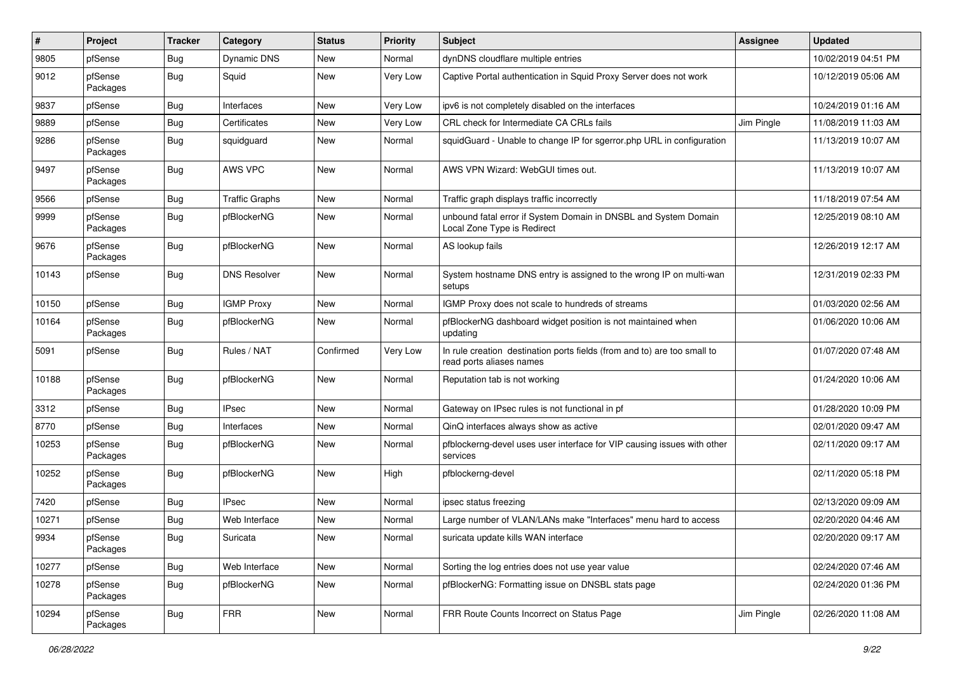| #     | Project             | <b>Tracker</b> | Category              | <b>Status</b> | <b>Priority</b> | Subject                                                                                              | Assignee   | <b>Updated</b>      |
|-------|---------------------|----------------|-----------------------|---------------|-----------------|------------------------------------------------------------------------------------------------------|------------|---------------------|
| 9805  | pfSense             | Bug            | Dynamic DNS           | New           | Normal          | dynDNS cloudflare multiple entries                                                                   |            | 10/02/2019 04:51 PM |
| 9012  | pfSense<br>Packages | Bug            | Squid                 | New           | Very Low        | Captive Portal authentication in Squid Proxy Server does not work                                    |            | 10/12/2019 05:06 AM |
| 9837  | pfSense             | Bug            | Interfaces            | New           | Very Low        | ipv6 is not completely disabled on the interfaces                                                    |            | 10/24/2019 01:16 AM |
| 9889  | pfSense             | Bug            | Certificates          | New           | Very Low        | CRL check for Intermediate CA CRLs fails                                                             | Jim Pingle | 11/08/2019 11:03 AM |
| 9286  | pfSense<br>Packages | Bug            | squidguard            | New           | Normal          | squidGuard - Unable to change IP for sgerror.php URL in configuration                                |            | 11/13/2019 10:07 AM |
| 9497  | pfSense<br>Packages | <b>Bug</b>     | AWS VPC               | New           | Normal          | AWS VPN Wizard: WebGUI times out.                                                                    |            | 11/13/2019 10:07 AM |
| 9566  | pfSense             | Bug            | <b>Traffic Graphs</b> | New           | Normal          | Traffic graph displays traffic incorrectly                                                           |            | 11/18/2019 07:54 AM |
| 9999  | pfSense<br>Packages | Bug            | pfBlockerNG           | New           | Normal          | unbound fatal error if System Domain in DNSBL and System Domain<br>Local Zone Type is Redirect       |            | 12/25/2019 08:10 AM |
| 9676  | pfSense<br>Packages | Bug            | pfBlockerNG           | New           | Normal          | AS lookup fails                                                                                      |            | 12/26/2019 12:17 AM |
| 10143 | pfSense             | Bug            | <b>DNS Resolver</b>   | New           | Normal          | System hostname DNS entry is assigned to the wrong IP on multi-wan<br>setups                         |            | 12/31/2019 02:33 PM |
| 10150 | pfSense             | Bug            | <b>IGMP Proxy</b>     | <b>New</b>    | Normal          | IGMP Proxy does not scale to hundreds of streams                                                     |            | 01/03/2020 02:56 AM |
| 10164 | pfSense<br>Packages | Bug            | pfBlockerNG           | New           | Normal          | pfBlockerNG dashboard widget position is not maintained when<br>updating                             |            | 01/06/2020 10:06 AM |
| 5091  | pfSense             | Bug            | Rules / NAT           | Confirmed     | Very Low        | In rule creation destination ports fields (from and to) are too small to<br>read ports aliases names |            | 01/07/2020 07:48 AM |
| 10188 | pfSense<br>Packages | Bug            | pfBlockerNG           | New           | Normal          | Reputation tab is not working                                                                        |            | 01/24/2020 10:06 AM |
| 3312  | pfSense             | Bug            | <b>IPsec</b>          | New           | Normal          | Gateway on IPsec rules is not functional in pf                                                       |            | 01/28/2020 10:09 PM |
| 8770  | pfSense             | Bug            | Interfaces            | New           | Normal          | QinQ interfaces always show as active                                                                |            | 02/01/2020 09:47 AM |
| 10253 | pfSense<br>Packages | Bug            | pfBlockerNG           | New           | Normal          | pfblockerng-devel uses user interface for VIP causing issues with other<br>services                  |            | 02/11/2020 09:17 AM |
| 10252 | pfSense<br>Packages | Bug            | pfBlockerNG           | New           | High            | pfblockerng-devel                                                                                    |            | 02/11/2020 05:18 PM |
| 7420  | pfSense             | Bug            | <b>IPsec</b>          | New           | Normal          | ipsec status freezing                                                                                |            | 02/13/2020 09:09 AM |
| 10271 | pfSense             | Bug            | Web Interface         | New           | Normal          | Large number of VLAN/LANs make "Interfaces" menu hard to access                                      |            | 02/20/2020 04:46 AM |
| 9934  | pfSense<br>Packages | Bug            | Suricata              | New           | Normal          | suricata update kills WAN interface                                                                  |            | 02/20/2020 09:17 AM |
| 10277 | pfSense             | Bug            | Web Interface         | New           | Normal          | Sorting the log entries does not use year value                                                      |            | 02/24/2020 07:46 AM |
| 10278 | pfSense<br>Packages | <b>Bug</b>     | pfBlockerNG           | New           | Normal          | pfBlockerNG: Formatting issue on DNSBL stats page                                                    |            | 02/24/2020 01:36 PM |
| 10294 | pfSense<br>Packages | Bug            | <b>FRR</b>            | New           | Normal          | FRR Route Counts Incorrect on Status Page                                                            | Jim Pingle | 02/26/2020 11:08 AM |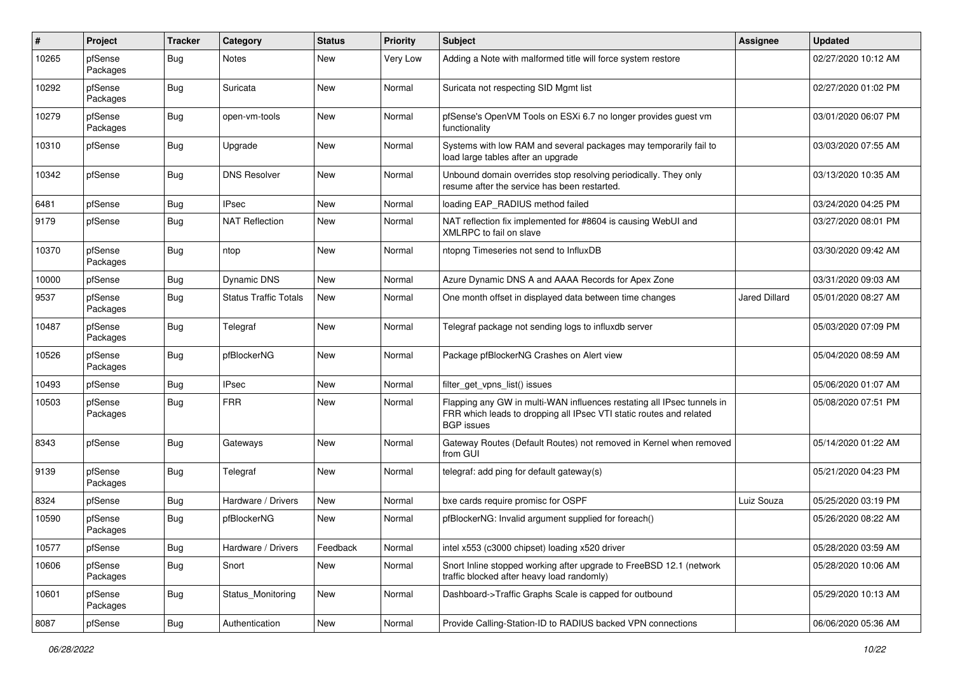| #     | Project             | <b>Tracker</b> | Category                     | <b>Status</b> | <b>Priority</b> | <b>Subject</b>                                                                                                                                                     | Assignee      | <b>Updated</b>      |
|-------|---------------------|----------------|------------------------------|---------------|-----------------|--------------------------------------------------------------------------------------------------------------------------------------------------------------------|---------------|---------------------|
| 10265 | pfSense<br>Packages | <b>Bug</b>     | Notes                        | New           | Very Low        | Adding a Note with malformed title will force system restore                                                                                                       |               | 02/27/2020 10:12 AM |
| 10292 | pfSense<br>Packages | Bug            | Suricata                     | New           | Normal          | Suricata not respecting SID Mgmt list                                                                                                                              |               | 02/27/2020 01:02 PM |
| 10279 | pfSense<br>Packages | Bug            | open-vm-tools                | <b>New</b>    | Normal          | pfSense's OpenVM Tools on ESXi 6.7 no longer provides guest vm<br>functionality                                                                                    |               | 03/01/2020 06:07 PM |
| 10310 | pfSense             | Bug            | Upgrade                      | New           | Normal          | Systems with low RAM and several packages may temporarily fail to<br>load large tables after an upgrade                                                            |               | 03/03/2020 07:55 AM |
| 10342 | pfSense             | Bug            | <b>DNS Resolver</b>          | New           | Normal          | Unbound domain overrides stop resolving periodically. They only<br>resume after the service has been restarted.                                                    |               | 03/13/2020 10:35 AM |
| 6481  | pfSense             | Bug            | <b>IPsec</b>                 | New           | Normal          | loading EAP RADIUS method failed                                                                                                                                   |               | 03/24/2020 04:25 PM |
| 9179  | pfSense             | Bug            | <b>NAT Reflection</b>        | New           | Normal          | NAT reflection fix implemented for #8604 is causing WebUI and<br>XMLRPC to fail on slave                                                                           |               | 03/27/2020 08:01 PM |
| 10370 | pfSense<br>Packages | Bug            | ntop                         | New           | Normal          | ntopng Timeseries not send to InfluxDB                                                                                                                             |               | 03/30/2020 09:42 AM |
| 10000 | pfSense             | Bug            | <b>Dynamic DNS</b>           | <b>New</b>    | Normal          | Azure Dynamic DNS A and AAAA Records for Apex Zone                                                                                                                 |               | 03/31/2020 09:03 AM |
| 9537  | pfSense<br>Packages | Bug            | <b>Status Traffic Totals</b> | New           | Normal          | One month offset in displayed data between time changes                                                                                                            | Jared Dillard | 05/01/2020 08:27 AM |
| 10487 | pfSense<br>Packages | <b>Bug</b>     | Telegraf                     | New           | Normal          | Telegraf package not sending logs to influxdb server                                                                                                               |               | 05/03/2020 07:09 PM |
| 10526 | pfSense<br>Packages | <b>Bug</b>     | pfBlockerNG                  | New           | Normal          | Package pfBlockerNG Crashes on Alert view                                                                                                                          |               | 05/04/2020 08:59 AM |
| 10493 | pfSense             | Bug            | <b>IPsec</b>                 | New           | Normal          | filter_get_vpns_list() issues                                                                                                                                      |               | 05/06/2020 01:07 AM |
| 10503 | pfSense<br>Packages | Bug            | <b>FRR</b>                   | New           | Normal          | Flapping any GW in multi-WAN influences restating all IPsec tunnels in<br>FRR which leads to dropping all IPsec VTI static routes and related<br><b>BGP</b> issues |               | 05/08/2020 07:51 PM |
| 8343  | pfSense             | Bug            | Gateways                     | <b>New</b>    | Normal          | Gateway Routes (Default Routes) not removed in Kernel when removed<br>from GUI                                                                                     |               | 05/14/2020 01:22 AM |
| 9139  | pfSense<br>Packages | Bug            | Telegraf                     | New           | Normal          | telegraf: add ping for default gateway(s)                                                                                                                          |               | 05/21/2020 04:23 PM |
| 8324  | pfSense             | Bug            | Hardware / Drivers           | New           | Normal          | bxe cards require promisc for OSPF                                                                                                                                 | Luiz Souza    | 05/25/2020 03:19 PM |
| 10590 | pfSense<br>Packages | Bug            | pfBlockerNG                  | New           | Normal          | pfBlockerNG: Invalid argument supplied for foreach()                                                                                                               |               | 05/26/2020 08:22 AM |
| 10577 | pfSense             | <b>Bug</b>     | Hardware / Drivers           | Feedback      | Normal          | intel x553 (c3000 chipset) loading x520 driver                                                                                                                     |               | 05/28/2020 03:59 AM |
| 10606 | pfSense<br>Packages | <b>Bug</b>     | Snort                        | New           | Normal          | Snort Inline stopped working after upgrade to FreeBSD 12.1 (network<br>traffic blocked after heavy load randomly)                                                  |               | 05/28/2020 10:06 AM |
| 10601 | pfSense<br>Packages | <b>Bug</b>     | Status Monitoring            | New           | Normal          | Dashboard->Traffic Graphs Scale is capped for outbound                                                                                                             |               | 05/29/2020 10:13 AM |
| 8087  | pfSense             | <b>Bug</b>     | Authentication               | New           | Normal          | Provide Calling-Station-ID to RADIUS backed VPN connections                                                                                                        |               | 06/06/2020 05:36 AM |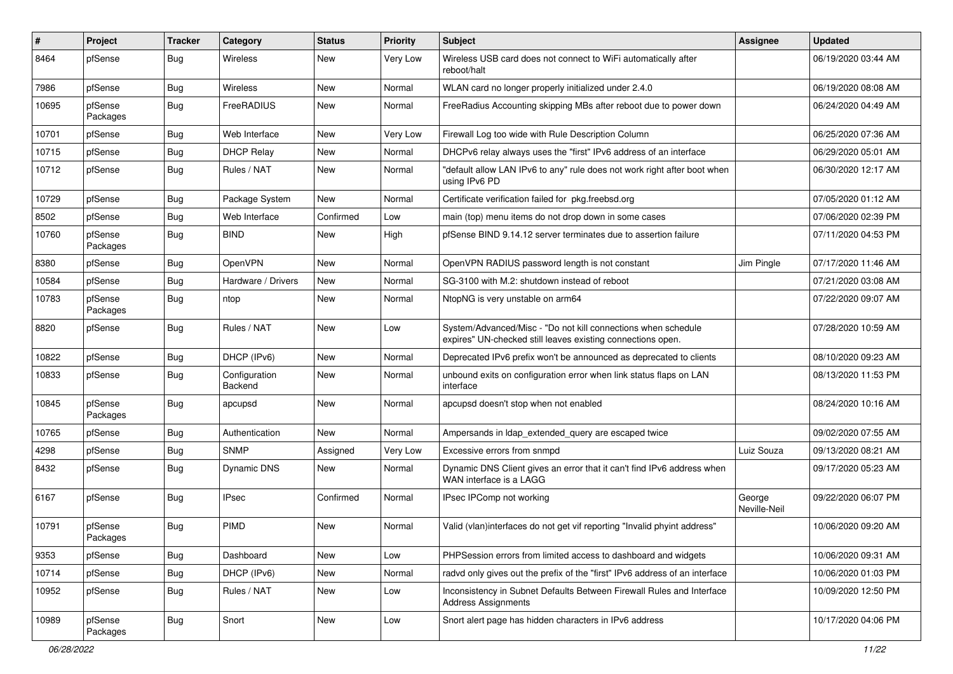| #     | Project             | <b>Tracker</b> | Category                 | <b>Status</b> | <b>Priority</b> | Subject                                                                                                                      | Assignee               | <b>Updated</b>      |
|-------|---------------------|----------------|--------------------------|---------------|-----------------|------------------------------------------------------------------------------------------------------------------------------|------------------------|---------------------|
| 8464  | pfSense             | Bug            | Wireless                 | New           | Very Low        | Wireless USB card does not connect to WiFi automatically after<br>reboot/halt                                                |                        | 06/19/2020 03:44 AM |
| 7986  | pfSense             | Bug            | Wireless                 | New           | Normal          | WLAN card no longer properly initialized under 2.4.0                                                                         |                        | 06/19/2020 08:08 AM |
| 10695 | pfSense<br>Packages | Bug            | FreeRADIUS               | New           | Normal          | FreeRadius Accounting skipping MBs after reboot due to power down                                                            |                        | 06/24/2020 04:49 AM |
| 10701 | pfSense             | Bug            | Web Interface            | New           | Very Low        | Firewall Log too wide with Rule Description Column                                                                           |                        | 06/25/2020 07:36 AM |
| 10715 | pfSense             | Bug            | <b>DHCP Relay</b>        | New           | Normal          | DHCPv6 relay always uses the "first" IPv6 address of an interface                                                            |                        | 06/29/2020 05:01 AM |
| 10712 | pfSense             | Bug            | Rules / NAT              | New           | Normal          | "default allow LAN IPv6 to any" rule does not work right after boot when<br>using IPv6 PD                                    |                        | 06/30/2020 12:17 AM |
| 10729 | pfSense             | Bug            | Package System           | New           | Normal          | Certificate verification failed for pkg.freebsd.org                                                                          |                        | 07/05/2020 01:12 AM |
| 8502  | pfSense             | Bug            | Web Interface            | Confirmed     | Low             | main (top) menu items do not drop down in some cases                                                                         |                        | 07/06/2020 02:39 PM |
| 10760 | pfSense<br>Packages | Bug            | <b>BIND</b>              | New           | High            | pfSense BIND 9.14.12 server terminates due to assertion failure                                                              |                        | 07/11/2020 04:53 PM |
| 8380  | pfSense             | Bug            | OpenVPN                  | New           | Normal          | OpenVPN RADIUS password length is not constant                                                                               | Jim Pingle             | 07/17/2020 11:46 AM |
| 10584 | pfSense             | Bug            | Hardware / Drivers       | New           | Normal          | SG-3100 with M.2: shutdown instead of reboot                                                                                 |                        | 07/21/2020 03:08 AM |
| 10783 | pfSense<br>Packages | <b>Bug</b>     | ntop                     | New           | Normal          | NtopNG is very unstable on arm64                                                                                             |                        | 07/22/2020 09:07 AM |
| 8820  | pfSense             | Bug            | Rules / NAT              | New           | Low             | System/Advanced/Misc - "Do not kill connections when schedule<br>expires" UN-checked still leaves existing connections open. |                        | 07/28/2020 10:59 AM |
| 10822 | pfSense             | Bug            | DHCP (IPv6)              | New           | Normal          | Deprecated IPv6 prefix won't be announced as deprecated to clients                                                           |                        | 08/10/2020 09:23 AM |
| 10833 | pfSense             | Bug            | Configuration<br>Backend | New           | Normal          | unbound exits on configuration error when link status flaps on LAN<br>interface                                              |                        | 08/13/2020 11:53 PM |
| 10845 | pfSense<br>Packages | Bug            | apcupsd                  | New           | Normal          | apcupsd doesn't stop when not enabled                                                                                        |                        | 08/24/2020 10:16 AM |
| 10765 | pfSense             | Bug            | Authentication           | New           | Normal          | Ampersands in Idap extended query are escaped twice                                                                          |                        | 09/02/2020 07:55 AM |
| 4298  | pfSense             | Bug            | <b>SNMP</b>              | Assigned      | Very Low        | Excessive errors from snmpd                                                                                                  | Luiz Souza             | 09/13/2020 08:21 AM |
| 8432  | pfSense             | Bug            | <b>Dynamic DNS</b>       | New           | Normal          | Dynamic DNS Client gives an error that it can't find IPv6 address when<br>WAN interface is a LAGG                            |                        | 09/17/2020 05:23 AM |
| 6167  | pfSense             | Bug            | <b>IPsec</b>             | Confirmed     | Normal          | IPsec IPComp not working                                                                                                     | George<br>Neville-Neil | 09/22/2020 06:07 PM |
| 10791 | pfSense<br>Packages | Bug            | <b>PIMD</b>              | New           | Normal          | Valid (vlan)interfaces do not get vif reporting "Invalid phyint address"                                                     |                        | 10/06/2020 09:20 AM |
| 9353  | pfSense             | Bug            | Dashboard                | New           | Low             | PHPSession errors from limited access to dashboard and widgets                                                               |                        | 10/06/2020 09:31 AM |
| 10714 | pfSense             | <b>Bug</b>     | DHCP (IPv6)              | New           | Normal          | radvd only gives out the prefix of the "first" IPv6 address of an interface                                                  |                        | 10/06/2020 01:03 PM |
| 10952 | pfSense             | <b>Bug</b>     | Rules / NAT              | New           | Low             | Inconsistency in Subnet Defaults Between Firewall Rules and Interface<br><b>Address Assignments</b>                          |                        | 10/09/2020 12:50 PM |
| 10989 | pfSense<br>Packages | <b>Bug</b>     | Snort                    | New           | Low             | Snort alert page has hidden characters in IPv6 address                                                                       |                        | 10/17/2020 04:06 PM |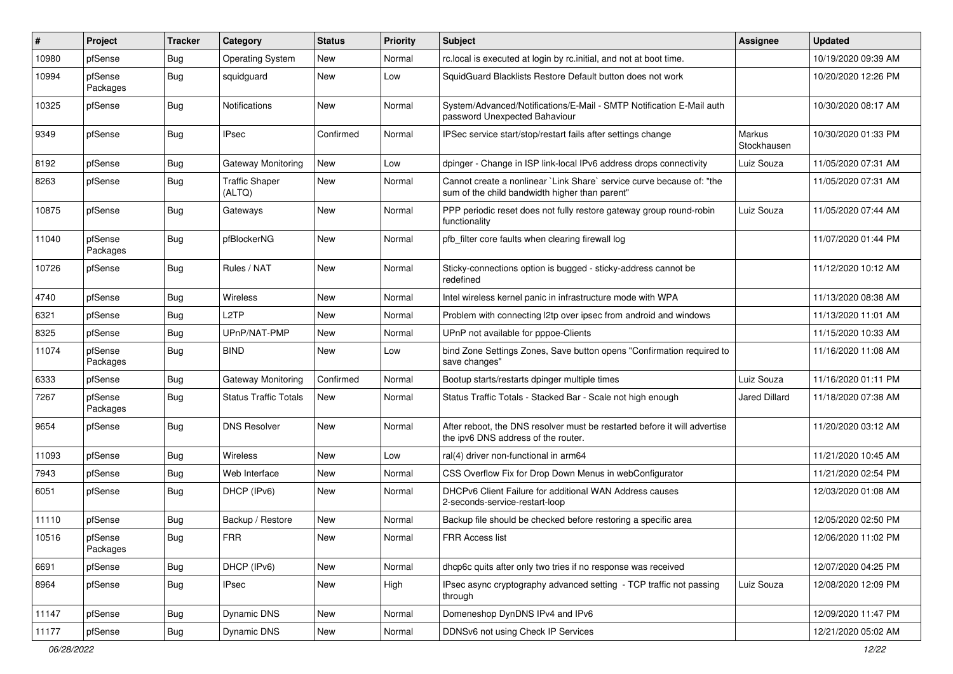| #     | Project             | <b>Tracker</b> | Category                     | <b>Status</b> | <b>Priority</b> | <b>Subject</b>                                                                                                          | Assignee              | <b>Updated</b>      |
|-------|---------------------|----------------|------------------------------|---------------|-----------------|-------------------------------------------------------------------------------------------------------------------------|-----------------------|---------------------|
| 10980 | pfSense             | Bug            | <b>Operating System</b>      | New           | Normal          | rc.local is executed at login by rc.initial, and not at boot time.                                                      |                       | 10/19/2020 09:39 AM |
| 10994 | pfSense<br>Packages | Bug            | squidguard                   | New           | Low             | SquidGuard Blacklists Restore Default button does not work                                                              |                       | 10/20/2020 12:26 PM |
| 10325 | pfSense             | Bug            | Notifications                | New           | Normal          | System/Advanced/Notifications/E-Mail - SMTP Notification E-Mail auth<br>password Unexpected Bahaviour                   |                       | 10/30/2020 08:17 AM |
| 9349  | pfSense             | Bug            | <b>IPsec</b>                 | Confirmed     | Normal          | IPSec service start/stop/restart fails after settings change                                                            | Markus<br>Stockhausen | 10/30/2020 01:33 PM |
| 8192  | pfSense             | Bug            | Gateway Monitoring           | New           | Low             | dpinger - Change in ISP link-local IPv6 address drops connectivity                                                      | Luiz Souza            | 11/05/2020 07:31 AM |
| 8263  | pfSense             | Bug            | Traffic Shaper<br>(ALTQ)     | New           | Normal          | Cannot create a nonlinear `Link Share` service curve because of: "the<br>sum of the child bandwidth higher than parent" |                       | 11/05/2020 07:31 AM |
| 10875 | pfSense             | Bug            | Gateways                     | New           | Normal          | PPP periodic reset does not fully restore gateway group round-robin<br>functionality                                    | Luiz Souza            | 11/05/2020 07:44 AM |
| 11040 | pfSense<br>Packages | Bug            | pfBlockerNG                  | New           | Normal          | pfb_filter core faults when clearing firewall log                                                                       |                       | 11/07/2020 01:44 PM |
| 10726 | pfSense             | Bug            | Rules / NAT                  | New           | Normal          | Sticky-connections option is bugged - sticky-address cannot be<br>redefined                                             |                       | 11/12/2020 10:12 AM |
| 4740  | pfSense             | Bug            | Wireless                     | New           | Normal          | Intel wireless kernel panic in infrastructure mode with WPA                                                             |                       | 11/13/2020 08:38 AM |
| 6321  | pfSense             | <b>Bug</b>     | L <sub>2</sub> TP            | New           | Normal          | Problem with connecting I2tp over ipsec from android and windows                                                        |                       | 11/13/2020 11:01 AM |
| 8325  | pfSense             | Bug            | UPnP/NAT-PMP                 | New           | Normal          | UPnP not available for pppoe-Clients                                                                                    |                       | 11/15/2020 10:33 AM |
| 11074 | pfSense<br>Packages | Bug            | <b>BIND</b>                  | New           | Low             | bind Zone Settings Zones, Save button opens "Confirmation required to<br>save changes"                                  |                       | 11/16/2020 11:08 AM |
| 6333  | pfSense             | Bug            | Gateway Monitoring           | Confirmed     | Normal          | Bootup starts/restarts dpinger multiple times                                                                           | Luiz Souza            | 11/16/2020 01:11 PM |
| 7267  | pfSense<br>Packages | Bug            | <b>Status Traffic Totals</b> | New           | Normal          | Status Traffic Totals - Stacked Bar - Scale not high enough                                                             | Jared Dillard         | 11/18/2020 07:38 AM |
| 9654  | pfSense             | Bug            | <b>DNS Resolver</b>          | New           | Normal          | After reboot, the DNS resolver must be restarted before it will advertise<br>the ipv6 DNS address of the router.        |                       | 11/20/2020 03:12 AM |
| 11093 | pfSense             | Bug            | Wireless                     | <b>New</b>    | Low             | ral(4) driver non-functional in arm64                                                                                   |                       | 11/21/2020 10:45 AM |
| 7943  | pfSense             | Bug            | Web Interface                | New           | Normal          | CSS Overflow Fix for Drop Down Menus in webConfigurator                                                                 |                       | 11/21/2020 02:54 PM |
| 6051  | pfSense             | Bug            | DHCP (IPv6)                  | New           | Normal          | DHCPv6 Client Failure for additional WAN Address causes<br>2-seconds-service-restart-loop                               |                       | 12/03/2020 01:08 AM |
| 11110 | pfSense             | Bug            | Backup / Restore             | New           | Normal          | Backup file should be checked before restoring a specific area                                                          |                       | 12/05/2020 02:50 PM |
| 10516 | pfSense<br>Packages | Bug            | <b>FRR</b>                   | New           | Normal          | FRR Access list                                                                                                         |                       | 12/06/2020 11:02 PM |
| 6691  | pfSense             | Bug            | DHCP (IPv6)                  | New           | Normal          | dhcp6c quits after only two tries if no response was received                                                           |                       | 12/07/2020 04:25 PM |
| 8964  | pfSense             | <b>Bug</b>     | <b>IPsec</b>                 | New           | High            | IPsec async cryptography advanced setting - TCP traffic not passing<br>through                                          | Luiz Souza            | 12/08/2020 12:09 PM |
| 11147 | pfSense             | <b>Bug</b>     | Dynamic DNS                  | New           | Normal          | Domeneshop DynDNS IPv4 and IPv6                                                                                         |                       | 12/09/2020 11:47 PM |
| 11177 | pfSense             | <b>Bug</b>     | Dynamic DNS                  | New           | Normal          | DDNSv6 not using Check IP Services                                                                                      |                       | 12/21/2020 05:02 AM |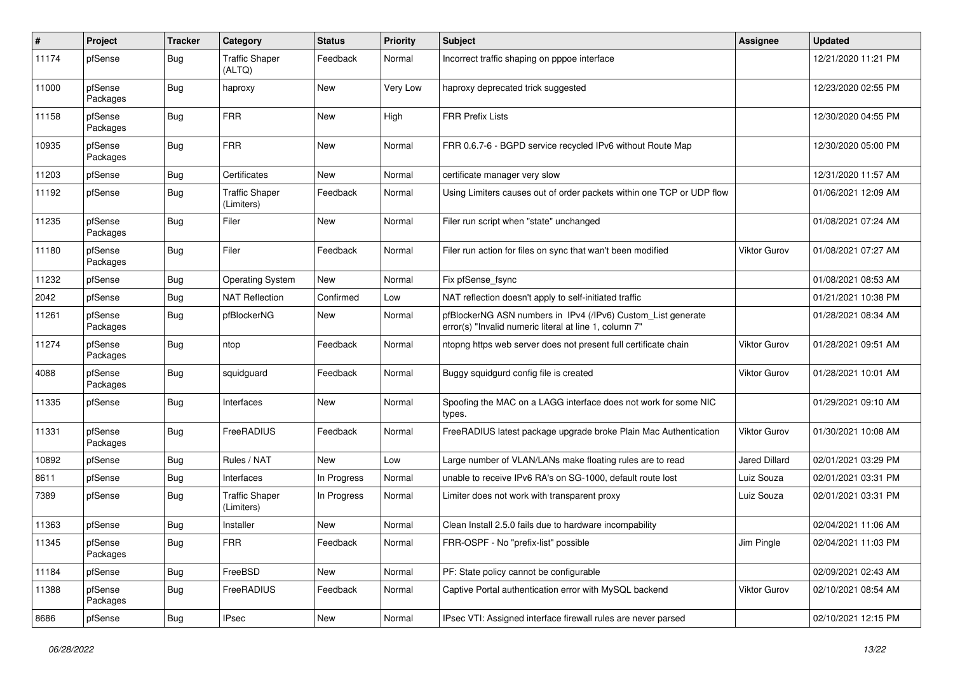| #     | Project             | <b>Tracker</b> | Category                            | <b>Status</b> | <b>Priority</b> | Subject                                                                                                                | Assignee            | <b>Updated</b>      |
|-------|---------------------|----------------|-------------------------------------|---------------|-----------------|------------------------------------------------------------------------------------------------------------------------|---------------------|---------------------|
| 11174 | pfSense             | Bug            | <b>Traffic Shaper</b><br>(ALTQ)     | Feedback      | Normal          | Incorrect traffic shaping on pppoe interface                                                                           |                     | 12/21/2020 11:21 PM |
| 11000 | pfSense<br>Packages | Bug            | haproxy                             | <b>New</b>    | Very Low        | haproxy deprecated trick suggested                                                                                     |                     | 12/23/2020 02:55 PM |
| 11158 | pfSense<br>Packages | <b>Bug</b>     | <b>FRR</b>                          | <b>New</b>    | High            | <b>FRR Prefix Lists</b>                                                                                                |                     | 12/30/2020 04:55 PM |
| 10935 | pfSense<br>Packages | Bug            | <b>FRR</b>                          | <b>New</b>    | Normal          | FRR 0.6.7-6 - BGPD service recycled IPv6 without Route Map                                                             |                     | 12/30/2020 05:00 PM |
| 11203 | pfSense             | Bug            | Certificates                        | New           | Normal          | certificate manager very slow                                                                                          |                     | 12/31/2020 11:57 AM |
| 11192 | pfSense             | Bug            | <b>Traffic Shaper</b><br>(Limiters) | Feedback      | Normal          | Using Limiters causes out of order packets within one TCP or UDP flow                                                  |                     | 01/06/2021 12:09 AM |
| 11235 | pfSense<br>Packages | Bug            | Filer                               | New           | Normal          | Filer run script when "state" unchanged                                                                                |                     | 01/08/2021 07:24 AM |
| 11180 | pfSense<br>Packages | Bug            | Filer                               | Feedback      | Normal          | Filer run action for files on sync that wan't been modified                                                            | Viktor Gurov        | 01/08/2021 07:27 AM |
| 11232 | pfSense             | Bug            | <b>Operating System</b>             | New           | Normal          | Fix pfSense_fsync                                                                                                      |                     | 01/08/2021 08:53 AM |
| 2042  | pfSense             | Bug            | <b>NAT Reflection</b>               | Confirmed     | Low             | NAT reflection doesn't apply to self-initiated traffic                                                                 |                     | 01/21/2021 10:38 PM |
| 11261 | pfSense<br>Packages | Bug            | pfBlockerNG                         | New           | Normal          | pfBlockerNG ASN numbers in IPv4 (/IPv6) Custom_List generate<br>error(s) "Invalid numeric literal at line 1, column 7" |                     | 01/28/2021 08:34 AM |
| 11274 | pfSense<br>Packages | Bug            | ntop                                | Feedback      | Normal          | ntopng https web server does not present full certificate chain                                                        | <b>Viktor Gurov</b> | 01/28/2021 09:51 AM |
| 4088  | pfSense<br>Packages | Bug            | squidguard                          | Feedback      | Normal          | Buggy squidgurd config file is created                                                                                 | Viktor Gurov        | 01/28/2021 10:01 AM |
| 11335 | pfSense             | Bug            | Interfaces                          | New           | Normal          | Spoofing the MAC on a LAGG interface does not work for some NIC<br>types.                                              |                     | 01/29/2021 09:10 AM |
| 11331 | pfSense<br>Packages | Bug            | FreeRADIUS                          | Feedback      | Normal          | FreeRADIUS latest package upgrade broke Plain Mac Authentication                                                       | Viktor Gurov        | 01/30/2021 10:08 AM |
| 10892 | pfSense             | Bug            | Rules / NAT                         | New           | Low             | Large number of VLAN/LANs make floating rules are to read                                                              | Jared Dillard       | 02/01/2021 03:29 PM |
| 8611  | pfSense             | Bug            | Interfaces                          | In Progress   | Normal          | unable to receive IPv6 RA's on SG-1000, default route lost                                                             | Luiz Souza          | 02/01/2021 03:31 PM |
| 7389  | pfSense             | Bug            | <b>Traffic Shaper</b><br>(Limiters) | In Progress   | Normal          | Limiter does not work with transparent proxy                                                                           | Luiz Souza          | 02/01/2021 03:31 PM |
| 11363 | pfSense             | Bug            | Installer                           | <b>New</b>    | Normal          | Clean Install 2.5.0 fails due to hardware incompability                                                                |                     | 02/04/2021 11:06 AM |
| 11345 | pfSense<br>Packages | <b>Bug</b>     | FRR                                 | Feedback      | Normal          | FRR-OSPF - No "prefix-list" possible                                                                                   | Jim Pingle          | 02/04/2021 11:03 PM |
| 11184 | pfSense             | <b>Bug</b>     | FreeBSD                             | New           | Normal          | PF: State policy cannot be configurable                                                                                |                     | 02/09/2021 02:43 AM |
| 11388 | pfSense<br>Packages | <b>Bug</b>     | FreeRADIUS                          | Feedback      | Normal          | Captive Portal authentication error with MySQL backend                                                                 | Viktor Gurov        | 02/10/2021 08:54 AM |
| 8686  | pfSense             | <b>Bug</b>     | <b>IPsec</b>                        | New           | Normal          | IPsec VTI: Assigned interface firewall rules are never parsed                                                          |                     | 02/10/2021 12:15 PM |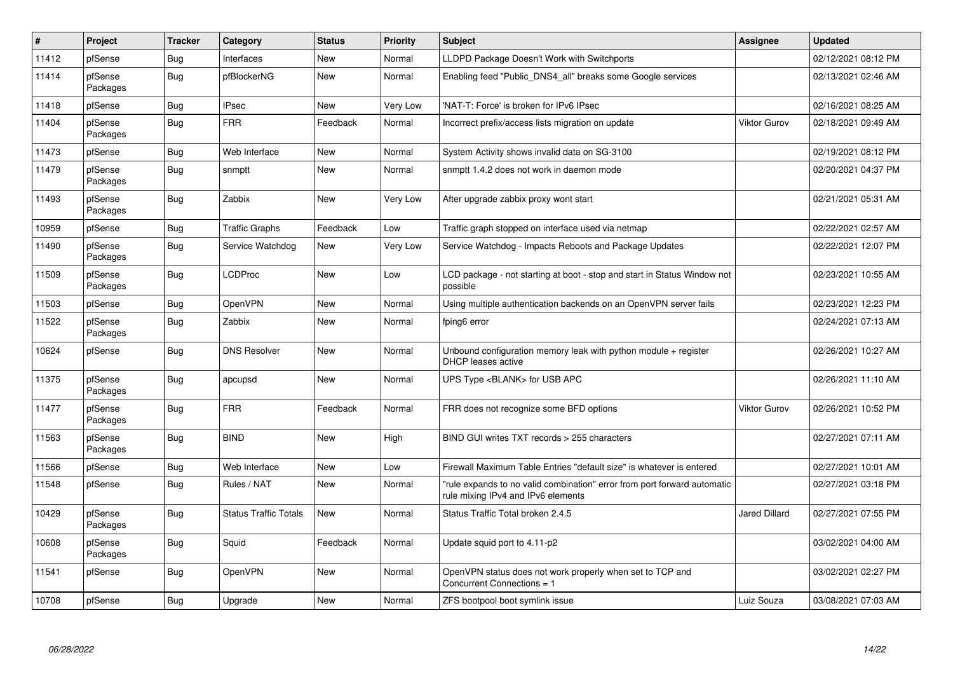| $\vert$ # | Project             | <b>Tracker</b> | Category                     | <b>Status</b> | <b>Priority</b> | <b>Subject</b>                                                                                                 | <b>Assignee</b>      | <b>Updated</b>      |
|-----------|---------------------|----------------|------------------------------|---------------|-----------------|----------------------------------------------------------------------------------------------------------------|----------------------|---------------------|
| 11412     | pfSense             | Bug            | Interfaces                   | <b>New</b>    | Normal          | LLDPD Package Doesn't Work with Switchports                                                                    |                      | 02/12/2021 08:12 PM |
| 11414     | pfSense<br>Packages | Bug            | pfBlockerNG                  | <b>New</b>    | Normal          | Enabling feed "Public DNS4 all" breaks some Google services                                                    |                      | 02/13/2021 02:46 AM |
| 11418     | pfSense             | <b>Bug</b>     | <b>IPsec</b>                 | New           | Very Low        | 'NAT-T: Force' is broken for IPv6 IPsec                                                                        |                      | 02/16/2021 08:25 AM |
| 11404     | pfSense<br>Packages | <b>Bug</b>     | <b>FRR</b>                   | Feedback      | Normal          | Incorrect prefix/access lists migration on update                                                              | <b>Viktor Gurov</b>  | 02/18/2021 09:49 AM |
| 11473     | pfSense             | Bug            | Web Interface                | <b>New</b>    | Normal          | System Activity shows invalid data on SG-3100                                                                  |                      | 02/19/2021 08:12 PM |
| 11479     | pfSense<br>Packages | Bug            | snmptt                       | <b>New</b>    | Normal          | snmptt 1.4.2 does not work in daemon mode                                                                      |                      | 02/20/2021 04:37 PM |
| 11493     | pfSense<br>Packages | Bug            | Zabbix                       | New           | Very Low        | After upgrade zabbix proxy wont start                                                                          |                      | 02/21/2021 05:31 AM |
| 10959     | pfSense             | Bug            | <b>Traffic Graphs</b>        | Feedback      | Low             | Traffic graph stopped on interface used via netmap                                                             |                      | 02/22/2021 02:57 AM |
| 11490     | pfSense<br>Packages | <b>Bug</b>     | Service Watchdog             | New           | Very Low        | Service Watchdog - Impacts Reboots and Package Updates                                                         |                      | 02/22/2021 12:07 PM |
| 11509     | pfSense<br>Packages | <b>Bug</b>     | LCDProc                      | New           | Low             | LCD package - not starting at boot - stop and start in Status Window not<br>possible                           |                      | 02/23/2021 10:55 AM |
| 11503     | pfSense             | Bug            | <b>OpenVPN</b>               | New           | Normal          | Using multiple authentication backends on an OpenVPN server fails                                              |                      | 02/23/2021 12:23 PM |
| 11522     | pfSense<br>Packages | <b>Bug</b>     | Zabbix                       | <b>New</b>    | Normal          | fping6 error                                                                                                   |                      | 02/24/2021 07:13 AM |
| 10624     | pfSense             | <b>Bug</b>     | <b>DNS Resolver</b>          | New           | Normal          | Unbound configuration memory leak with python module $+$ register<br>DHCP leases active                        |                      | 02/26/2021 10:27 AM |
| 11375     | pfSense<br>Packages | <b>Bug</b>     | apcupsd                      | <b>New</b>    | Normal          | UPS Type <blank> for USB APC</blank>                                                                           |                      | 02/26/2021 11:10 AM |
| 11477     | pfSense<br>Packages | <b>Bug</b>     | <b>FRR</b>                   | Feedback      | Normal          | FRR does not recognize some BFD options                                                                        | Viktor Gurov         | 02/26/2021 10:52 PM |
| 11563     | pfSense<br>Packages | Bug            | <b>BIND</b>                  | <b>New</b>    | High            | BIND GUI writes TXT records > 255 characters                                                                   |                      | 02/27/2021 07:11 AM |
| 11566     | pfSense             | <b>Bug</b>     | Web Interface                | New           | Low             | Firewall Maximum Table Entries "default size" is whatever is entered                                           |                      | 02/27/2021 10:01 AM |
| 11548     | pfSense             | <b>Bug</b>     | Rules / NAT                  | <b>New</b>    | Normal          | 'rule expands to no valid combination" error from port forward automatic<br>rule mixing IPv4 and IPv6 elements |                      | 02/27/2021 03:18 PM |
| 10429     | pfSense<br>Packages | <b>Bug</b>     | <b>Status Traffic Totals</b> | <b>New</b>    | Normal          | Status Traffic Total broken 2.4.5                                                                              | <b>Jared Dillard</b> | 02/27/2021 07:55 PM |
| 10608     | pfSense<br>Packages | <b>Bug</b>     | Squid                        | Feedback      | Normal          | Update squid port to 4.11-p2                                                                                   |                      | 03/02/2021 04:00 AM |
| 11541     | pfSense             | <b>Bug</b>     | <b>OpenVPN</b>               | <b>New</b>    | Normal          | OpenVPN status does not work properly when set to TCP and<br>Concurrent Connections = 1                        |                      | 03/02/2021 02:27 PM |
| 10708     | pfSense             | Bug            | Upgrade                      | New           | Normal          | ZFS bootpool boot symlink issue                                                                                | Luiz Souza           | 03/08/2021 07:03 AM |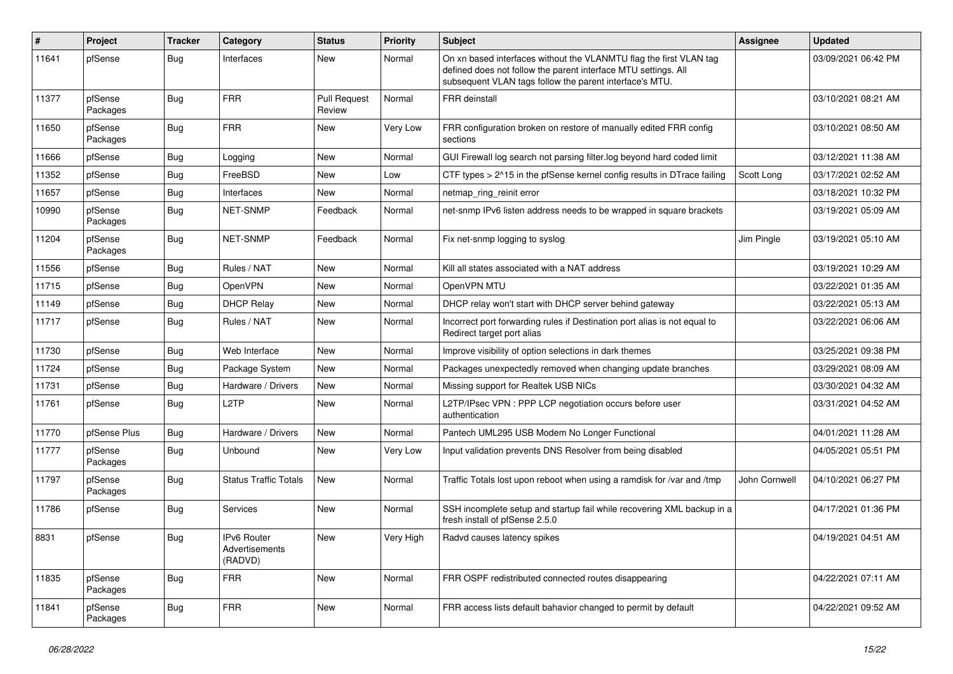| #     | Project             | <b>Tracker</b> | Category                                 | <b>Status</b>                 | <b>Priority</b> | Subject                                                                                                                                                                                         | Assignee      | <b>Updated</b>      |
|-------|---------------------|----------------|------------------------------------------|-------------------------------|-----------------|-------------------------------------------------------------------------------------------------------------------------------------------------------------------------------------------------|---------------|---------------------|
| 11641 | pfSense             | Bug            | Interfaces                               | New                           | Normal          | On xn based interfaces without the VLANMTU flag the first VLAN tag<br>defined does not follow the parent interface MTU settings. All<br>subsequent VLAN tags follow the parent interface's MTU. |               | 03/09/2021 06:42 PM |
| 11377 | pfSense<br>Packages | Bug            | <b>FRR</b>                               | <b>Pull Request</b><br>Review | Normal          | FRR deinstall                                                                                                                                                                                   |               | 03/10/2021 08:21 AM |
| 11650 | pfSense<br>Packages | Bug            | <b>FRR</b>                               | New                           | Very Low        | FRR configuration broken on restore of manually edited FRR config<br>sections                                                                                                                   |               | 03/10/2021 08:50 AM |
| 11666 | pfSense             | Bug            | Logging                                  | New                           | Normal          | GUI Firewall log search not parsing filter.log beyond hard coded limit                                                                                                                          |               | 03/12/2021 11:38 AM |
| 11352 | pfSense             | <b>Bug</b>     | FreeBSD                                  | New                           | Low             | CTF types > 2^15 in the pfSense kernel config results in DTrace failing                                                                                                                         | Scott Long    | 03/17/2021 02:52 AM |
| 11657 | pfSense             | Bug            | Interfaces                               | New                           | Normal          | netmap_ring_reinit error                                                                                                                                                                        |               | 03/18/2021 10:32 PM |
| 10990 | pfSense<br>Packages | Bug            | NET-SNMP                                 | Feedback                      | Normal          | net-snmp IPv6 listen address needs to be wrapped in square brackets                                                                                                                             |               | 03/19/2021 05:09 AM |
| 11204 | pfSense<br>Packages | Bug            | NET-SNMP                                 | Feedback                      | Normal          | Fix net-snmp logging to syslog                                                                                                                                                                  | Jim Pingle    | 03/19/2021 05:10 AM |
| 11556 | pfSense             | Bug            | Rules / NAT                              | New                           | Normal          | Kill all states associated with a NAT address                                                                                                                                                   |               | 03/19/2021 10:29 AM |
| 11715 | pfSense             | Bug            | OpenVPN                                  | New                           | Normal          | OpenVPN MTU                                                                                                                                                                                     |               | 03/22/2021 01:35 AM |
| 11149 | pfSense             | <b>Bug</b>     | <b>DHCP Relay</b>                        | New                           | Normal          | DHCP relay won't start with DHCP server behind gateway                                                                                                                                          |               | 03/22/2021 05:13 AM |
| 11717 | pfSense             | Bug            | Rules / NAT                              | New                           | Normal          | Incorrect port forwarding rules if Destination port alias is not equal to<br>Redirect target port alias                                                                                         |               | 03/22/2021 06:06 AM |
| 11730 | pfSense             | Bug            | Web Interface                            | New                           | Normal          | Improve visibility of option selections in dark themes                                                                                                                                          |               | 03/25/2021 09:38 PM |
| 11724 | pfSense             | <b>Bug</b>     | Package System                           | New                           | Normal          | Packages unexpectedly removed when changing update branches                                                                                                                                     |               | 03/29/2021 08:09 AM |
| 11731 | pfSense             | <b>Bug</b>     | Hardware / Drivers                       | New                           | Normal          | Missing support for Realtek USB NICs                                                                                                                                                            |               | 03/30/2021 04:32 AM |
| 11761 | pfSense             | Bug            | L <sub>2</sub> TP                        | New                           | Normal          | L2TP/IPsec VPN : PPP LCP negotiation occurs before user<br>authentication                                                                                                                       |               | 03/31/2021 04:52 AM |
| 11770 | pfSense Plus        | <b>Bug</b>     | Hardware / Drivers                       | New                           | Normal          | Pantech UML295 USB Modem No Longer Functional                                                                                                                                                   |               | 04/01/2021 11:28 AM |
| 11777 | pfSense<br>Packages | Bug            | Unbound                                  | New                           | Very Low        | Input validation prevents DNS Resolver from being disabled                                                                                                                                      |               | 04/05/2021 05:51 PM |
| 11797 | pfSense<br>Packages | Bug            | <b>Status Traffic Totals</b>             | New                           | Normal          | Traffic Totals lost upon reboot when using a ramdisk for /var and /tmp                                                                                                                          | John Cornwell | 04/10/2021 06:27 PM |
| 11786 | pfSense             | Bug            | Services                                 | New                           | Normal          | SSH incomplete setup and startup fail while recovering XML backup in a<br>fresh install of pfSense 2.5.0                                                                                        |               | 04/17/2021 01:36 PM |
| 8831  | pfSense             | Bug            | IPv6 Router<br>Advertisements<br>(RADVD) | New                           | Very High       | Radvd causes latency spikes                                                                                                                                                                     |               | 04/19/2021 04:51 AM |
| 11835 | pfSense<br>Packages | <b>Bug</b>     | <b>FRR</b>                               | New                           | Normal          | FRR OSPF redistributed connected routes disappearing                                                                                                                                            |               | 04/22/2021 07:11 AM |
| 11841 | pfSense<br>Packages | <b>Bug</b>     | <b>FRR</b>                               | New                           | Normal          | FRR access lists default bahavior changed to permit by default                                                                                                                                  |               | 04/22/2021 09:52 AM |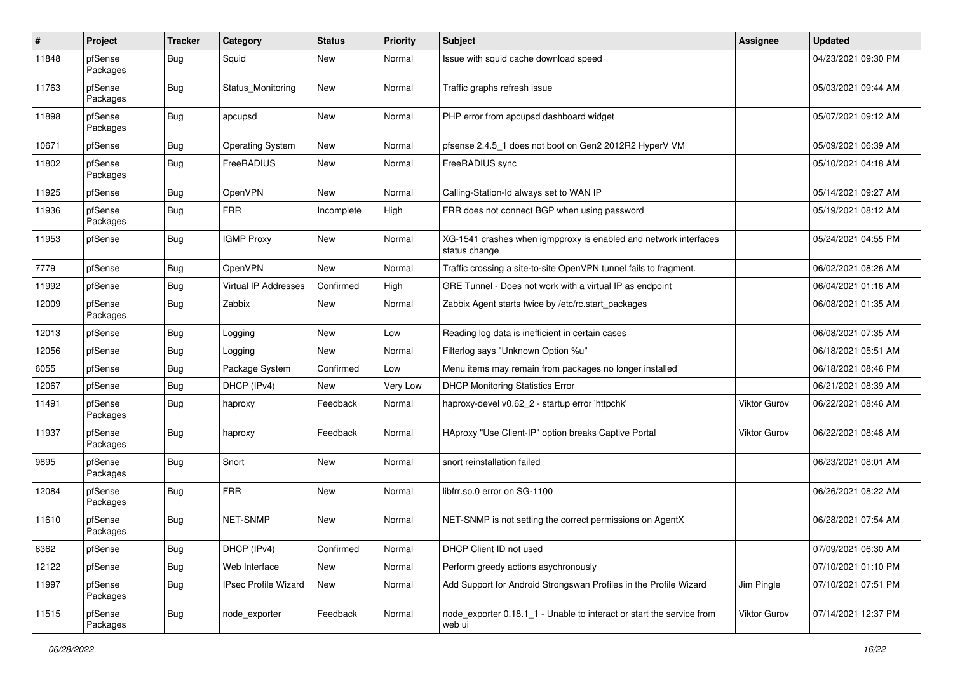| #     | Project             | <b>Tracker</b> | Category                    | <b>Status</b> | <b>Priority</b> | Subject                                                                           | <b>Assignee</b>     | <b>Updated</b>      |
|-------|---------------------|----------------|-----------------------------|---------------|-----------------|-----------------------------------------------------------------------------------|---------------------|---------------------|
| 11848 | pfSense<br>Packages | Bug            | Squid                       | New           | Normal          | Issue with squid cache download speed                                             |                     | 04/23/2021 09:30 PM |
| 11763 | pfSense<br>Packages | Bug            | Status_Monitoring           | New           | Normal          | Traffic graphs refresh issue                                                      |                     | 05/03/2021 09:44 AM |
| 11898 | pfSense<br>Packages | <b>Bug</b>     | apcupsd                     | New           | Normal          | PHP error from apcupsd dashboard widget                                           |                     | 05/07/2021 09:12 AM |
| 10671 | pfSense             | Bug            | <b>Operating System</b>     | New           | Normal          | pfsense 2.4.5_1 does not boot on Gen2 2012R2 HyperV VM                            |                     | 05/09/2021 06:39 AM |
| 11802 | pfSense<br>Packages | Bug            | FreeRADIUS                  | New           | Normal          | FreeRADIUS sync                                                                   |                     | 05/10/2021 04:18 AM |
| 11925 | pfSense             | Bug            | <b>OpenVPN</b>              | <b>New</b>    | Normal          | Calling-Station-Id always set to WAN IP                                           |                     | 05/14/2021 09:27 AM |
| 11936 | pfSense<br>Packages | Bug            | <b>FRR</b>                  | Incomplete    | High            | FRR does not connect BGP when using password                                      |                     | 05/19/2021 08:12 AM |
| 11953 | pfSense             | <b>Bug</b>     | <b>IGMP Proxy</b>           | New           | Normal          | XG-1541 crashes when igmpproxy is enabled and network interfaces<br>status change |                     | 05/24/2021 04:55 PM |
| 7779  | pfSense             | Bug            | <b>OpenVPN</b>              | <b>New</b>    | Normal          | Traffic crossing a site-to-site OpenVPN tunnel fails to fragment.                 |                     | 06/02/2021 08:26 AM |
| 11992 | pfSense             | Bug            | <b>Virtual IP Addresses</b> | Confirmed     | High            | GRE Tunnel - Does not work with a virtual IP as endpoint                          |                     | 06/04/2021 01:16 AM |
| 12009 | pfSense<br>Packages | Bug            | Zabbix                      | New           | Normal          | Zabbix Agent starts twice by /etc/rc.start_packages                               |                     | 06/08/2021 01:35 AM |
| 12013 | pfSense             | Bug            | Logging                     | New           | Low             | Reading log data is inefficient in certain cases                                  |                     | 06/08/2021 07:35 AM |
| 12056 | pfSense             | <b>Bug</b>     | Logging                     | New           | Normal          | Filterlog says "Unknown Option %u"                                                |                     | 06/18/2021 05:51 AM |
| 6055  | pfSense             | Bug            | Package System              | Confirmed     | Low             | Menu items may remain from packages no longer installed                           |                     | 06/18/2021 08:46 PM |
| 12067 | pfSense             | Bug            | DHCP (IPv4)                 | New           | Very Low        | <b>DHCP Monitoring Statistics Error</b>                                           |                     | 06/21/2021 08:39 AM |
| 11491 | pfSense<br>Packages | Bug            | haproxy                     | Feedback      | Normal          | haproxy-devel v0.62_2 - startup error 'httpchk'                                   | Viktor Gurov        | 06/22/2021 08:46 AM |
| 11937 | pfSense<br>Packages | Bug            | haproxy                     | Feedback      | Normal          | HAproxy "Use Client-IP" option breaks Captive Portal                              | <b>Viktor Gurov</b> | 06/22/2021 08:48 AM |
| 9895  | pfSense<br>Packages | Bug            | Snort                       | New           | Normal          | snort reinstallation failed                                                       |                     | 06/23/2021 08:01 AM |
| 12084 | pfSense<br>Packages | <b>Bug</b>     | <b>FRR</b>                  | New           | Normal          | libfrr.so.0 error on SG-1100                                                      |                     | 06/26/2021 08:22 AM |
| 11610 | pfSense<br>Packages | <b>Bug</b>     | NET-SNMP                    | New           | Normal          | NET-SNMP is not setting the correct permissions on AgentX                         |                     | 06/28/2021 07:54 AM |
| 6362  | pfSense             | <b>Bug</b>     | DHCP (IPv4)                 | Confirmed     | Normal          | DHCP Client ID not used                                                           |                     | 07/09/2021 06:30 AM |
| 12122 | pfSense             | <b>Bug</b>     | Web Interface               | New           | Normal          | Perform greedy actions asychronously                                              |                     | 07/10/2021 01:10 PM |
| 11997 | pfSense<br>Packages | <b>Bug</b>     | <b>IPsec Profile Wizard</b> | New           | Normal          | Add Support for Android Strongswan Profiles in the Profile Wizard                 | Jim Pingle          | 07/10/2021 07:51 PM |
| 11515 | pfSense<br>Packages | <b>Bug</b>     | node_exporter               | Feedback      | Normal          | node_exporter 0.18.1_1 - Unable to interact or start the service from<br>web ui   | Viktor Gurov        | 07/14/2021 12:37 PM |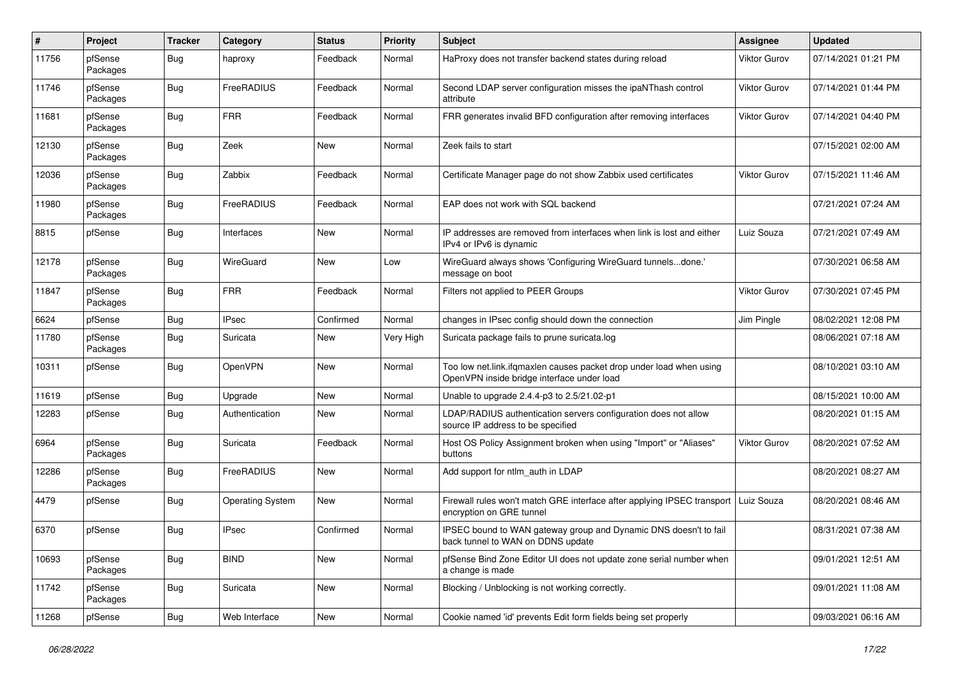| #     | Project             | <b>Tracker</b> | Category                | <b>Status</b> | <b>Priority</b> | Subject                                                                                                           | Assignee            | <b>Updated</b>      |
|-------|---------------------|----------------|-------------------------|---------------|-----------------|-------------------------------------------------------------------------------------------------------------------|---------------------|---------------------|
| 11756 | pfSense<br>Packages | Bug            | haproxy                 | Feedback      | Normal          | HaProxy does not transfer backend states during reload                                                            | Viktor Gurov        | 07/14/2021 01:21 PM |
| 11746 | pfSense<br>Packages | Bug            | FreeRADIUS              | Feedback      | Normal          | Second LDAP server configuration misses the ipaNThash control<br>attribute                                        | Viktor Gurov        | 07/14/2021 01:44 PM |
| 11681 | pfSense<br>Packages | <b>Bug</b>     | <b>FRR</b>              | Feedback      | Normal          | FRR generates invalid BFD configuration after removing interfaces                                                 | <b>Viktor Gurov</b> | 07/14/2021 04:40 PM |
| 12130 | pfSense<br>Packages | Bug            | Zeek                    | New           | Normal          | Zeek fails to start                                                                                               |                     | 07/15/2021 02:00 AM |
| 12036 | pfSense<br>Packages | Bug            | Zabbix                  | Feedback      | Normal          | Certificate Manager page do not show Zabbix used certificates                                                     | <b>Viktor Gurov</b> | 07/15/2021 11:46 AM |
| 11980 | pfSense<br>Packages | Bug            | FreeRADIUS              | Feedback      | Normal          | EAP does not work with SQL backend                                                                                |                     | 07/21/2021 07:24 AM |
| 8815  | pfSense             | Bug            | Interfaces              | New           | Normal          | IP addresses are removed from interfaces when link is lost and either<br>IPv4 or IPv6 is dynamic                  | Luiz Souza          | 07/21/2021 07:49 AM |
| 12178 | pfSense<br>Packages | Bug            | WireGuard               | New           | Low             | WireGuard always shows 'Configuring WireGuard tunnelsdone.'<br>message on boot                                    |                     | 07/30/2021 06:58 AM |
| 11847 | pfSense<br>Packages | Bug            | <b>FRR</b>              | Feedback      | Normal          | Filters not applied to PEER Groups                                                                                | Viktor Gurov        | 07/30/2021 07:45 PM |
| 6624  | pfSense             | Bug            | <b>IPsec</b>            | Confirmed     | Normal          | changes in IPsec config should down the connection                                                                | Jim Pingle          | 08/02/2021 12:08 PM |
| 11780 | pfSense<br>Packages | Bug            | Suricata                | New           | Very High       | Suricata package fails to prune suricata.log                                                                      |                     | 08/06/2021 07:18 AM |
| 10311 | pfSense             | Bug            | <b>OpenVPN</b>          | New           | Normal          | Too low net.link.ifqmaxlen causes packet drop under load when using<br>OpenVPN inside bridge interface under load |                     | 08/10/2021 03:10 AM |
| 11619 | pfSense             | Bug            | Upgrade                 | New           | Normal          | Unable to upgrade 2.4.4-p3 to 2.5/21.02-p1                                                                        |                     | 08/15/2021 10:00 AM |
| 12283 | pfSense             | Bug            | Authentication          | New           | Normal          | LDAP/RADIUS authentication servers configuration does not allow<br>source IP address to be specified              |                     | 08/20/2021 01:15 AM |
| 6964  | pfSense<br>Packages | <b>Bug</b>     | Suricata                | Feedback      | Normal          | Host OS Policy Assignment broken when using "Import" or "Aliases"<br>buttons                                      | Viktor Gurov        | 08/20/2021 07:52 AM |
| 12286 | pfSense<br>Packages | Bug            | FreeRADIUS              | New           | Normal          | Add support for ntlm_auth in LDAP                                                                                 |                     | 08/20/2021 08:27 AM |
| 4479  | pfSense             | Bug            | <b>Operating System</b> | New           | Normal          | Firewall rules won't match GRE interface after applying IPSEC transport<br>encryption on GRE tunnel               | Luiz Souza          | 08/20/2021 08:46 AM |
| 6370  | pfSense             | Bug            | IPsec                   | Confirmed     | Normal          | IPSEC bound to WAN gateway group and Dynamic DNS doesn't to fail<br>back tunnel to WAN on DDNS update             |                     | 08/31/2021 07:38 AM |
| 10693 | pfSense<br>Packages | <b>Bug</b>     | <b>BIND</b>             | New           | Normal          | pfSense Bind Zone Editor UI does not update zone serial number when<br>a change is made                           |                     | 09/01/2021 12:51 AM |
| 11742 | pfSense<br>Packages | <b>Bug</b>     | Suricata                | New           | Normal          | Blocking / Unblocking is not working correctly.                                                                   |                     | 09/01/2021 11:08 AM |
| 11268 | pfSense             | <b>Bug</b>     | Web Interface           | New           | Normal          | Cookie named 'id' prevents Edit form fields being set properly                                                    |                     | 09/03/2021 06:16 AM |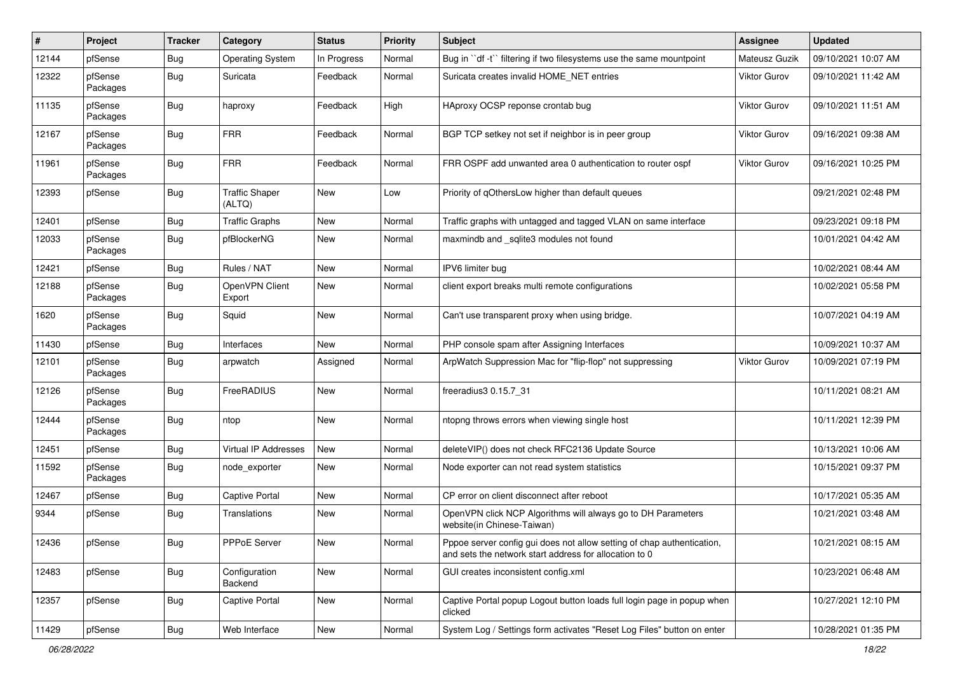| #     | Project             | <b>Tracker</b> | Category                        | <b>Status</b> | <b>Priority</b> | Subject                                                                                                                          | <b>Assignee</b>     | <b>Updated</b>      |
|-------|---------------------|----------------|---------------------------------|---------------|-----------------|----------------------------------------------------------------------------------------------------------------------------------|---------------------|---------------------|
| 12144 | pfSense             | Bug            | <b>Operating System</b>         | In Progress   | Normal          | Bug in "df -t" filtering if two filesystems use the same mountpoint                                                              | Mateusz Guzik       | 09/10/2021 10:07 AM |
| 12322 | pfSense<br>Packages | Bug            | Suricata                        | Feedback      | Normal          | Suricata creates invalid HOME NET entries                                                                                        | Viktor Gurov        | 09/10/2021 11:42 AM |
| 11135 | pfSense<br>Packages | Bug            | haproxy                         | Feedback      | High            | HAproxy OCSP reponse crontab bug                                                                                                 | <b>Viktor Gurov</b> | 09/10/2021 11:51 AM |
| 12167 | pfSense<br>Packages | Bug            | FRR                             | Feedback      | Normal          | BGP TCP setkey not set if neighbor is in peer group                                                                              | Viktor Gurov        | 09/16/2021 09:38 AM |
| 11961 | pfSense<br>Packages | Bug            | <b>FRR</b>                      | Feedback      | Normal          | FRR OSPF add unwanted area 0 authentication to router ospf                                                                       | <b>Viktor Gurov</b> | 09/16/2021 10:25 PM |
| 12393 | pfSense             | <b>Bug</b>     | <b>Traffic Shaper</b><br>(ALTQ) | New           | Low             | Priority of gOthersLow higher than default queues                                                                                |                     | 09/21/2021 02:48 PM |
| 12401 | pfSense             | Bug            | <b>Traffic Graphs</b>           | New           | Normal          | Traffic graphs with untagged and tagged VLAN on same interface                                                                   |                     | 09/23/2021 09:18 PM |
| 12033 | pfSense<br>Packages | Bug            | pfBlockerNG                     | New           | Normal          | maxmindb and _sqlite3 modules not found                                                                                          |                     | 10/01/2021 04:42 AM |
| 12421 | pfSense             | Bug            | Rules / NAT                     | New           | Normal          | IPV6 limiter bug                                                                                                                 |                     | 10/02/2021 08:44 AM |
| 12188 | pfSense<br>Packages | <b>Bug</b>     | OpenVPN Client<br>Export        | New           | Normal          | client export breaks multi remote configurations                                                                                 |                     | 10/02/2021 05:58 PM |
| 1620  | pfSense<br>Packages | Bug            | Squid                           | New           | Normal          | Can't use transparent proxy when using bridge.                                                                                   |                     | 10/07/2021 04:19 AM |
| 11430 | pfSense             | Bug            | Interfaces                      | <b>New</b>    | Normal          | PHP console spam after Assigning Interfaces                                                                                      |                     | 10/09/2021 10:37 AM |
| 12101 | pfSense<br>Packages | Bug            | arpwatch                        | Assigned      | Normal          | ArpWatch Suppression Mac for "flip-flop" not suppressing                                                                         | Viktor Gurov        | 10/09/2021 07:19 PM |
| 12126 | pfSense<br>Packages | Bug            | FreeRADIUS                      | New           | Normal          | freeradius3 0.15.7_31                                                                                                            |                     | 10/11/2021 08:21 AM |
| 12444 | pfSense<br>Packages | Bug            | ntop                            | New           | Normal          | ntopng throws errors when viewing single host                                                                                    |                     | 10/11/2021 12:39 PM |
| 12451 | pfSense             | Bug            | Virtual IP Addresses            | New           | Normal          | deleteVIP() does not check RFC2136 Update Source                                                                                 |                     | 10/13/2021 10:06 AM |
| 11592 | pfSense<br>Packages | Bug            | node_exporter                   | New           | Normal          | Node exporter can not read system statistics                                                                                     |                     | 10/15/2021 09:37 PM |
| 12467 | pfSense             | Bug            | Captive Portal                  | New           | Normal          | CP error on client disconnect after reboot                                                                                       |                     | 10/17/2021 05:35 AM |
| 9344  | pfSense             | Bug            | Translations                    | New           | Normal          | OpenVPN click NCP Algorithms will always go to DH Parameters<br>website(in Chinese-Taiwan)                                       |                     | 10/21/2021 03:48 AM |
| 12436 | pfSense             | <b>Bug</b>     | PPPoE Server                    | New           | Normal          | Pppoe server config gui does not allow setting of chap authentication,<br>and sets the network start address for allocation to 0 |                     | 10/21/2021 08:15 AM |
| 12483 | pfSense             | <b>Bug</b>     | Configuration<br>Backend        | New           | Normal          | GUI creates inconsistent config.xml                                                                                              |                     | 10/23/2021 06:48 AM |
| 12357 | pfSense             | <b>Bug</b>     | Captive Portal                  | New           | Normal          | Captive Portal popup Logout button loads full login page in popup when<br>clicked                                                |                     | 10/27/2021 12:10 PM |
| 11429 | pfSense             | Bug            | Web Interface                   | New           | Normal          | System Log / Settings form activates "Reset Log Files" button on enter                                                           |                     | 10/28/2021 01:35 PM |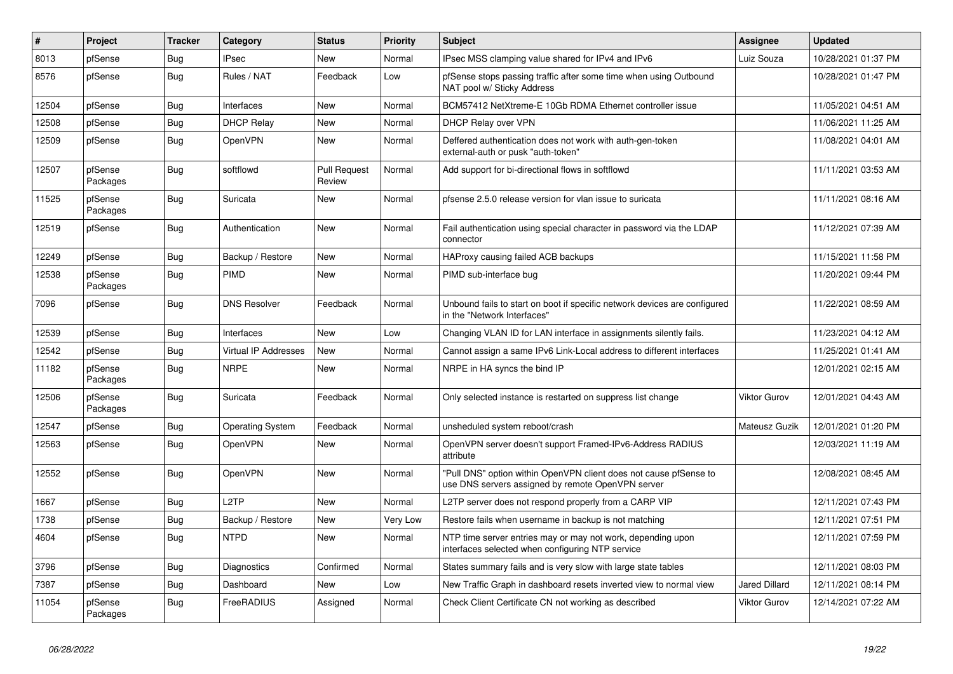| #     | Project             | <b>Tracker</b> | Category                    | <b>Status</b>                 | <b>Priority</b> | <b>Subject</b>                                                                                                         | <b>Assignee</b>      | <b>Updated</b>      |
|-------|---------------------|----------------|-----------------------------|-------------------------------|-----------------|------------------------------------------------------------------------------------------------------------------------|----------------------|---------------------|
| 8013  | pfSense             | <b>Bug</b>     | <b>IPsec</b>                | <b>New</b>                    | Normal          | IPsec MSS clamping value shared for IPv4 and IPv6                                                                      | Luiz Souza           | 10/28/2021 01:37 PM |
| 8576  | pfSense             | <b>Bug</b>     | Rules / NAT                 | Feedback                      | Low             | pfSense stops passing traffic after some time when using Outbound<br>NAT pool w/ Sticky Address                        |                      | 10/28/2021 01:47 PM |
| 12504 | pfSense             | <b>Bug</b>     | Interfaces                  | <b>New</b>                    | Normal          | BCM57412 NetXtreme-E 10Gb RDMA Ethernet controller issue                                                               |                      | 11/05/2021 04:51 AM |
| 12508 | pfSense             | <b>Bug</b>     | <b>DHCP Relay</b>           | <b>New</b>                    | Normal          | DHCP Relay over VPN                                                                                                    |                      | 11/06/2021 11:25 AM |
| 12509 | pfSense             | <b>Bug</b>     | <b>OpenVPN</b>              | New                           | Normal          | Deffered authentication does not work with auth-gen-token<br>external-auth or pusk "auth-token"                        |                      | 11/08/2021 04:01 AM |
| 12507 | pfSense<br>Packages | Bug            | softflowd                   | <b>Pull Request</b><br>Review | Normal          | Add support for bi-directional flows in softflowd                                                                      |                      | 11/11/2021 03:53 AM |
| 11525 | pfSense<br>Packages | <b>Bug</b>     | Suricata                    | New                           | Normal          | pfsense 2.5.0 release version for vlan issue to suricata                                                               |                      | 11/11/2021 08:16 AM |
| 12519 | pfSense             | <b>Bug</b>     | Authentication              | <b>New</b>                    | Normal          | Fail authentication using special character in password via the LDAP<br>connector                                      |                      | 11/12/2021 07:39 AM |
| 12249 | pfSense             | Bug            | Backup / Restore            | <b>New</b>                    | Normal          | HAProxy causing failed ACB backups                                                                                     |                      | 11/15/2021 11:58 PM |
| 12538 | pfSense<br>Packages | Bug            | PIMD                        | <b>New</b>                    | Normal          | PIMD sub-interface bug                                                                                                 |                      | 11/20/2021 09:44 PM |
| 7096  | pfSense             | <b>Bug</b>     | <b>DNS Resolver</b>         | Feedback                      | Normal          | Unbound fails to start on boot if specific network devices are configured<br>in the "Network Interfaces"               |                      | 11/22/2021 08:59 AM |
| 12539 | pfSense             | <b>Bug</b>     | Interfaces                  | <b>New</b>                    | Low             | Changing VLAN ID for LAN interface in assignments silently fails.                                                      |                      | 11/23/2021 04:12 AM |
| 12542 | pfSense             | <b>Bug</b>     | <b>Virtual IP Addresses</b> | <b>New</b>                    | Normal          | Cannot assign a same IPv6 Link-Local address to different interfaces                                                   |                      | 11/25/2021 01:41 AM |
| 11182 | pfSense<br>Packages | <b>Bug</b>     | <b>NRPE</b>                 | <b>New</b>                    | Normal          | NRPE in HA syncs the bind IP                                                                                           |                      | 12/01/2021 02:15 AM |
| 12506 | pfSense<br>Packages | Bug            | Suricata                    | Feedback                      | Normal          | Only selected instance is restarted on suppress list change                                                            | <b>Viktor Gurov</b>  | 12/01/2021 04:43 AM |
| 12547 | pfSense             | Bug            | <b>Operating System</b>     | Feedback                      | Normal          | unsheduled system reboot/crash                                                                                         | Mateusz Guzik        | 12/01/2021 01:20 PM |
| 12563 | pfSense             | <b>Bug</b>     | <b>OpenVPN</b>              | <b>New</b>                    | Normal          | OpenVPN server doesn't support Framed-IPv6-Address RADIUS<br>attribute                                                 |                      | 12/03/2021 11:19 AM |
| 12552 | pfSense             | Bug            | <b>OpenVPN</b>              | <b>New</b>                    | Normal          | 'Pull DNS" option within OpenVPN client does not cause pfSense to<br>use DNS servers assigned by remote OpenVPN server |                      | 12/08/2021 08:45 AM |
| 1667  | pfSense             | <b>Bug</b>     | L <sub>2</sub> TP           | <b>New</b>                    | Normal          | L2TP server does not respond properly from a CARP VIP                                                                  |                      | 12/11/2021 07:43 PM |
| 1738  | pfSense             | <b>Bug</b>     | Backup / Restore            | <b>New</b>                    | Very Low        | Restore fails when username in backup is not matching                                                                  |                      | 12/11/2021 07:51 PM |
| 4604  | pfSense             | Bug            | <b>NTPD</b>                 | <b>New</b>                    | Normal          | NTP time server entries may or may not work, depending upon<br>interfaces selected when configuring NTP service        |                      | 12/11/2021 07:59 PM |
| 3796  | pfSense             | Bug            | Diagnostics                 | Confirmed                     | Normal          | States summary fails and is very slow with large state tables                                                          |                      | 12/11/2021 08:03 PM |
| 7387  | pfSense             | Bug            | Dashboard                   | <b>New</b>                    | Low             | New Traffic Graph in dashboard resets inverted view to normal view                                                     | <b>Jared Dillard</b> | 12/11/2021 08:14 PM |
| 11054 | pfSense<br>Packages | Bug            | FreeRADIUS                  | Assigned                      | Normal          | Check Client Certificate CN not working as described                                                                   | <b>Viktor Gurov</b>  | 12/14/2021 07:22 AM |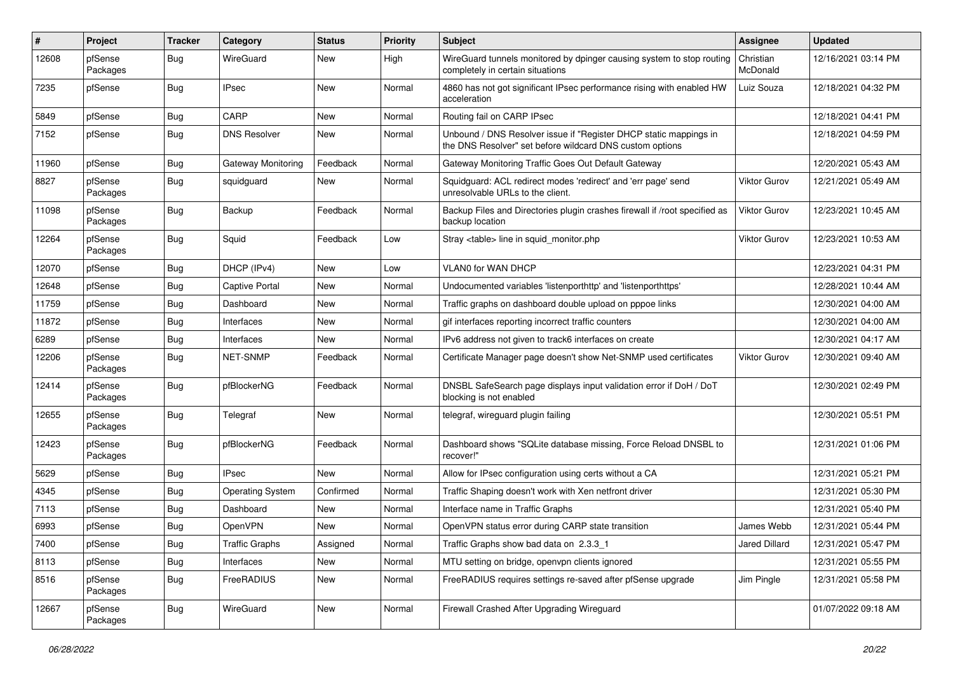| #     | Project             | <b>Tracker</b> | Category                | <b>Status</b> | <b>Priority</b> | <b>Subject</b>                                                                                                                | Assignee              | <b>Updated</b>      |
|-------|---------------------|----------------|-------------------------|---------------|-----------------|-------------------------------------------------------------------------------------------------------------------------------|-----------------------|---------------------|
| 12608 | pfSense<br>Packages | Bug            | WireGuard               | New           | High            | WireGuard tunnels monitored by dpinger causing system to stop routing<br>completely in certain situations                     | Christian<br>McDonald | 12/16/2021 03:14 PM |
| 7235  | pfSense             | Bug            | <b>IPsec</b>            | New           | Normal          | 4860 has not got significant IPsec performance rising with enabled HW<br>acceleration                                         | Luiz Souza            | 12/18/2021 04:32 PM |
| 5849  | pfSense             | Bug            | CARP                    | <b>New</b>    | Normal          | Routing fail on CARP IPsec                                                                                                    |                       | 12/18/2021 04:41 PM |
| 7152  | pfSense             | Bug            | <b>DNS Resolver</b>     | New           | Normal          | Unbound / DNS Resolver issue if "Register DHCP static mappings in<br>the DNS Resolver" set before wildcard DNS custom options |                       | 12/18/2021 04:59 PM |
| 11960 | pfSense             | Bug            | Gateway Monitoring      | Feedback      | Normal          | Gateway Monitoring Traffic Goes Out Default Gateway                                                                           |                       | 12/20/2021 05:43 AM |
| 8827  | pfSense<br>Packages | Bug            | squidguard              | New           | Normal          | Squidguard: ACL redirect modes 'redirect' and 'err page' send<br>unresolvable URLs to the client.                             | Viktor Gurov          | 12/21/2021 05:49 AM |
| 11098 | pfSense<br>Packages | Bug            | Backup                  | Feedback      | Normal          | Backup Files and Directories plugin crashes firewall if /root specified as<br>backup location                                 | <b>Viktor Gurov</b>   | 12/23/2021 10:45 AM |
| 12264 | pfSense<br>Packages | Bug            | Squid                   | Feedback      | Low             | Stray <table> line in squid monitor.php</table>                                                                               | Viktor Gurov          | 12/23/2021 10:53 AM |
| 12070 | pfSense             | Bug            | DHCP (IPv4)             | <b>New</b>    | Low             | <b>VLAN0 for WAN DHCP</b>                                                                                                     |                       | 12/23/2021 04:31 PM |
| 12648 | pfSense             | Bug            | <b>Captive Portal</b>   | New           | Normal          | Undocumented variables 'listenporthttp' and 'listenporthttps'                                                                 |                       | 12/28/2021 10:44 AM |
| 11759 | pfSense             | Bug            | Dashboard               | New           | Normal          | Traffic graphs on dashboard double upload on pppoe links                                                                      |                       | 12/30/2021 04:00 AM |
| 11872 | pfSense             | Bug            | Interfaces              | New           | Normal          | gif interfaces reporting incorrect traffic counters                                                                           |                       | 12/30/2021 04:00 AM |
| 6289  | pfSense             | Bug            | Interfaces              | New           | Normal          | IPv6 address not given to track6 interfaces on create                                                                         |                       | 12/30/2021 04:17 AM |
| 12206 | pfSense<br>Packages | Bug            | NET-SNMP                | Feedback      | Normal          | Certificate Manager page doesn't show Net-SNMP used certificates                                                              | Viktor Gurov          | 12/30/2021 09:40 AM |
| 12414 | pfSense<br>Packages | Bug            | pfBlockerNG             | Feedback      | Normal          | DNSBL SafeSearch page displays input validation error if DoH / DoT<br>blocking is not enabled                                 |                       | 12/30/2021 02:49 PM |
| 12655 | pfSense<br>Packages | Bug            | Telegraf                | <b>New</b>    | Normal          | telegraf, wireguard plugin failing                                                                                            |                       | 12/30/2021 05:51 PM |
| 12423 | pfSense<br>Packages | Bug            | pfBlockerNG             | Feedback      | Normal          | Dashboard shows "SQLite database missing, Force Reload DNSBL to<br>recover!'                                                  |                       | 12/31/2021 01:06 PM |
| 5629  | pfSense             | Bug            | <b>IPsec</b>            | New           | Normal          | Allow for IPsec configuration using certs without a CA                                                                        |                       | 12/31/2021 05:21 PM |
| 4345  | pfSense             | Bug            | <b>Operating System</b> | Confirmed     | Normal          | Traffic Shaping doesn't work with Xen netfront driver                                                                         |                       | 12/31/2021 05:30 PM |
| 7113  | pfSense             | Bug            | Dashboard               | New           | Normal          | Interface name in Traffic Graphs                                                                                              |                       | 12/31/2021 05:40 PM |
| 6993  | pfSense             | Bug            | <b>OpenVPN</b>          | New           | Normal          | OpenVPN status error during CARP state transition                                                                             | James Webb            | 12/31/2021 05:44 PM |
| 7400  | pfSense             | Bug            | <b>Traffic Graphs</b>   | Assigned      | Normal          | Traffic Graphs show bad data on 2.3.3_1                                                                                       | Jared Dillard         | 12/31/2021 05:47 PM |
| 8113  | pfSense             | <b>Bug</b>     | Interfaces              | New           | Normal          | MTU setting on bridge, openvpn clients ignored                                                                                |                       | 12/31/2021 05:55 PM |
| 8516  | pfSense<br>Packages | <b>Bug</b>     | FreeRADIUS              | New           | Normal          | FreeRADIUS requires settings re-saved after pfSense upgrade                                                                   | Jim Pingle            | 12/31/2021 05:58 PM |
| 12667 | pfSense<br>Packages | <b>Bug</b>     | WireGuard               | New           | Normal          | Firewall Crashed After Upgrading Wireguard                                                                                    |                       | 01/07/2022 09:18 AM |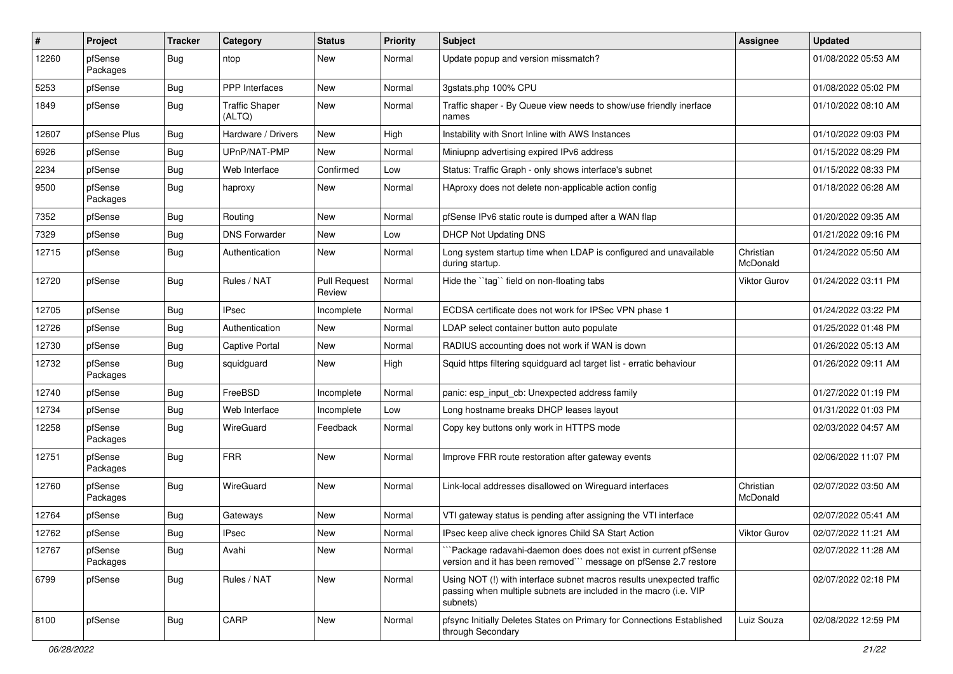| #     | Project             | <b>Tracker</b> | Category                        | <b>Status</b>                 | <b>Priority</b> | Subject                                                                                                                                                | Assignee              | <b>Updated</b>      |
|-------|---------------------|----------------|---------------------------------|-------------------------------|-----------------|--------------------------------------------------------------------------------------------------------------------------------------------------------|-----------------------|---------------------|
| 12260 | pfSense<br>Packages | Bug            | ntop                            | New                           | Normal          | Update popup and version missmatch?                                                                                                                    |                       | 01/08/2022 05:53 AM |
| 5253  | pfSense             | Bug            | PPP Interfaces                  | New                           | Normal          | 3gstats.php 100% CPU                                                                                                                                   |                       | 01/08/2022 05:02 PM |
| 1849  | pfSense             | <b>Bug</b>     | <b>Traffic Shaper</b><br>(ALTQ) | New                           | Normal          | Traffic shaper - By Queue view needs to show/use friendly inerface<br>names                                                                            |                       | 01/10/2022 08:10 AM |
| 12607 | pfSense Plus        | Bug            | Hardware / Drivers              | <b>New</b>                    | High            | Instability with Snort Inline with AWS Instances                                                                                                       |                       | 01/10/2022 09:03 PM |
| 6926  | pfSense             | Bug            | UPnP/NAT-PMP                    | New                           | Normal          | Miniupnp advertising expired IPv6 address                                                                                                              |                       | 01/15/2022 08:29 PM |
| 2234  | pfSense             | Bug            | Web Interface                   | Confirmed                     | Low             | Status: Traffic Graph - only shows interface's subnet                                                                                                  |                       | 01/15/2022 08:33 PM |
| 9500  | pfSense<br>Packages | Bug            | haproxy                         | New                           | Normal          | HAproxy does not delete non-applicable action config                                                                                                   |                       | 01/18/2022 06:28 AM |
| 7352  | pfSense             | Bug            | Routing                         | New                           | Normal          | pfSense IPv6 static route is dumped after a WAN flap                                                                                                   |                       | 01/20/2022 09:35 AM |
| 7329  | pfSense             | Bug            | <b>DNS Forwarder</b>            | New                           | Low             | DHCP Not Updating DNS                                                                                                                                  |                       | 01/21/2022 09:16 PM |
| 12715 | pfSense             | Bug            | Authentication                  | New                           | Normal          | Long system startup time when LDAP is configured and unavailable<br>during startup.                                                                    | Christian<br>McDonald | 01/24/2022 05:50 AM |
| 12720 | pfSense             | Bug            | Rules / NAT                     | <b>Pull Request</b><br>Review | Normal          | Hide the "tag" field on non-floating tabs                                                                                                              | <b>Viktor Gurov</b>   | 01/24/2022 03:11 PM |
| 12705 | pfSense             | Bug            | <b>IPsec</b>                    | Incomplete                    | Normal          | ECDSA certificate does not work for IPSec VPN phase 1                                                                                                  |                       | 01/24/2022 03:22 PM |
| 12726 | pfSense             | Bug            | Authentication                  | New                           | Normal          | LDAP select container button auto populate                                                                                                             |                       | 01/25/2022 01:48 PM |
| 12730 | pfSense             | Bug            | <b>Captive Portal</b>           | New                           | Normal          | RADIUS accounting does not work if WAN is down                                                                                                         |                       | 01/26/2022 05:13 AM |
| 12732 | pfSense<br>Packages | Bug            | squidguard                      | New                           | High            | Squid https filtering squidguard acl target list - erratic behaviour                                                                                   |                       | 01/26/2022 09:11 AM |
| 12740 | pfSense             | Bug            | FreeBSD                         | Incomplete                    | Normal          | panic: esp input cb: Unexpected address family                                                                                                         |                       | 01/27/2022 01:19 PM |
| 12734 | pfSense             | Bug            | Web Interface                   | Incomplete                    | Low             | Long hostname breaks DHCP leases layout                                                                                                                |                       | 01/31/2022 01:03 PM |
| 12258 | pfSense<br>Packages | Bug            | WireGuard                       | Feedback                      | Normal          | Copy key buttons only work in HTTPS mode                                                                                                               |                       | 02/03/2022 04:57 AM |
| 12751 | pfSense<br>Packages | Bug            | <b>FRR</b>                      | New                           | Normal          | Improve FRR route restoration after gateway events                                                                                                     |                       | 02/06/2022 11:07 PM |
| 12760 | pfSense<br>Packages | Bug            | WireGuard                       | New                           | Normal          | Link-local addresses disallowed on Wireguard interfaces                                                                                                | Christian<br>McDonald | 02/07/2022 03:50 AM |
| 12764 | pfSense             | Bug            | Gateways                        | New                           | Normal          | VTI gateway status is pending after assigning the VTI interface                                                                                        |                       | 02/07/2022 05:41 AM |
| 12762 | pfSense             | Bug            | IPsec                           | New                           | Normal          | IPsec keep alive check ignores Child SA Start Action                                                                                                   | <b>Viktor Gurov</b>   | 02/07/2022 11:21 AM |
| 12767 | pfSense<br>Packages | Bug            | Avahi                           | New                           | Normal          | "Package radavahi-daemon does does not exist in current pfSense<br>version and it has been removed" message on pfSense 2.7 restore                     |                       | 02/07/2022 11:28 AM |
| 6799  | pfSense             | Bug            | Rules / NAT                     | New                           | Normal          | Using NOT (!) with interface subnet macros results unexpected traffic<br>passing when multiple subnets are included in the macro (i.e. VIP<br>subnets) |                       | 02/07/2022 02:18 PM |
| 8100  | pfSense             | <b>Bug</b>     | CARP                            | New                           | Normal          | pfsync Initially Deletes States on Primary for Connections Established<br>through Secondary                                                            | Luiz Souza            | 02/08/2022 12:59 PM |